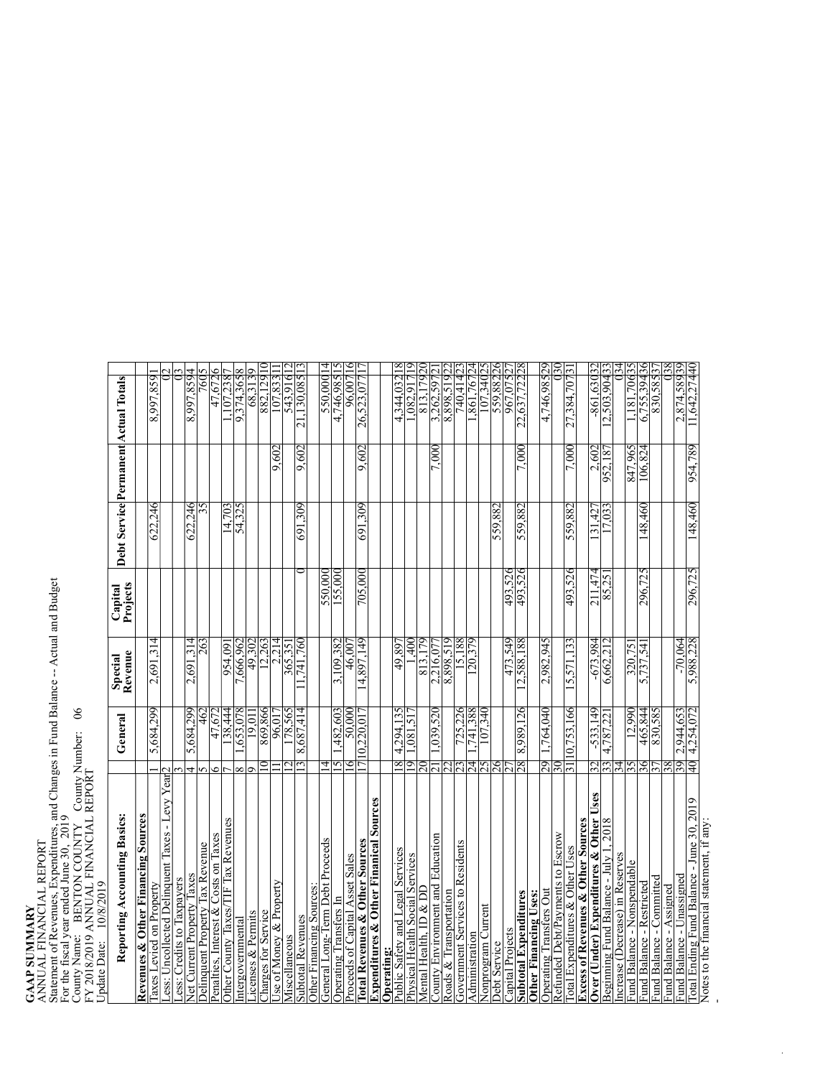## **GAAP SUMMARY**<br>ANNUAL FINANCIAL REPORT<br>Statement of Revenues, Expenditures, and Changes in Fund Balance -- Actual and Budget<br>For the fiscal year ended June 30, 2019<br>County Name: BENTON COUNTY County Number: 06<br>FY 2018/2019 ANNUAL FINANCIAL REPORT Statement of Revenues, Expenditures, and Changes in Fund Balance -- Actual and Budget For the fiscal year ended June 30, 2019

County Name: BENTON COUNTY County Number: 06

| FY 2018/2019 ANNUAL FINANCIAL REPORT<br>10/8/2019<br>Update Date:                        |                 |               |                    |                     |                |                    |                                      |                       |
|------------------------------------------------------------------------------------------|-----------------|---------------|--------------------|---------------------|----------------|--------------------|--------------------------------------|-----------------------|
| Reporting Accounting Basics:                                                             |                 | General       | Révenue<br>Special | Projects<br>Capital |                |                    | Debt Service Permanent Actual Totals |                       |
| Revenues & Other Financing Sources                                                       |                 |               |                    |                     |                |                    |                                      |                       |
| axes Levied on Property                                                                  |                 | 5,684,299     | 2,691,314          |                     | 622,246        |                    | 658'66'8                             |                       |
| Less: Uncollected Delinquent Taxes - Levy Year <sup>2</sup><br>ess: Credits to Taxpayers |                 |               |                    |                     |                |                    |                                      |                       |
| Net Current Property Taxes                                                               |                 | 5,684,299     | 2,691,314          |                     | 622,246        |                    | 8,997,8594                           |                       |
| Delinquent Property Tax Revenue                                                          |                 | $\frac{4}{9}$ | 263                |                     |                |                    | $\overline{60}$                      |                       |
| Penalties, Interest & Costs on Taxes                                                     |                 | 47,672        |                    |                     |                |                    | 47,6726                              |                       |
| Other County Taxes/TIF Tax Revenues                                                      |                 | 138,444       | 60.456             |                     | 14,703         |                    | .107.238                             |                       |
| Intergovernmental                                                                        | ∞               | ,653,078      | 7,666,962          |                     | 54,325         |                    | 9,374,365                            |                       |
| Licenses & Permits                                                                       |                 | 19.01         | 49,302             |                     |                |                    | 68,313                               |                       |
| Charges for Service                                                                      |                 | 869,866       | 12,263             |                     |                |                    | 882,129                              |                       |
| Use of Money & Property                                                                  |                 | 96,01         | 2,214              |                     |                | 9,602              | 107,833                              |                       |
| Miscellaneous                                                                            |                 | 178,565       | 365,351            |                     |                |                    | 543,916                              |                       |
| <b>Subtotal Revenues</b>                                                                 |                 | 8,687,414     | .741.760           |                     | 691,309        | 9,602              | 21.130.085                           |                       |
| Other Financing Sources:                                                                 |                 |               |                    |                     |                |                    |                                      |                       |
| General Long-Term Debt Proceeds                                                          | 4               |               |                    | 550,000             |                |                    | 1000,025                             | 4                     |
| Operating Transfers In                                                                   | SI              | ,482,603      | 3,109,382          | 155,000             |                |                    | 4,746,985                            |                       |
| Proceeds of Capital Asset Sales                                                          | $\circ$         | 50,000        | 46,00              |                     |                |                    | 96,0071                              | 6                     |
| Total Revenues & Other Sources                                                           | 17              | 10,220,01     | 14,897,149         | 705,000             | 691,309        | 9,602              | 26,523,077                           |                       |
| <b>Expenditures &amp; Other Finanical Sources</b>                                        |                 |               |                    |                     |                |                    |                                      |                       |
| Operating:                                                                               |                 |               |                    |                     |                |                    |                                      |                       |
| Public Safety and Legal Services                                                         | $^{\circ}$      | 4,294,135     | 49.897             |                     |                |                    | 4,344,032                            |                       |
| Physical Health Social Services                                                          | ್ರ              | $0.515$ .     | $\frac{1}{2}$      |                     |                |                    | 1.082.91                             |                       |
| Mental Health, ID & DD                                                                   | ຂ               |               | 813,179            |                     |                |                    | 813,179                              |                       |
| County Environment and Education                                                         |                 | 1,039,520     | 2,216,07           |                     |                | 7.000              | 3,262,597                            |                       |
| Roads & Transportation                                                                   |                 |               | 615'868'8          |                     |                |                    | 8,898,519                            |                       |
| <b>Government Services to Residents</b>                                                  |                 | 725,226       | 15,188             |                     |                |                    | 740,414                              |                       |
| Administration                                                                           | 24              | 883147,       | (20,379)           |                     |                |                    | .861.767                             |                       |
| Nonprogram Current                                                                       | $\frac{25}{26}$ | 07,340        |                    |                     |                |                    | 107,340                              |                       |
| Debt Service                                                                             |                 |               |                    |                     | 559,882        |                    | 559,882                              |                       |
| Capital Projects                                                                         |                 |               | 473,549            | 493,526             |                |                    | 967,075                              |                       |
| <b>Subtotal Expenditures</b>                                                             | 28              | 8,989,126     | 12,588,188         | 493,526             | 559,882        | 7.000              | 22,637,7222                          |                       |
| <b>Operating Transfers Out</b><br>Other Financing Uses:                                  | 67              | 1.764.040     | 2,982,945          |                     |                |                    | 4,746,98529                          |                       |
| Refunded Debt/Payments to Escrow                                                         | 30              |               |                    |                     |                |                    |                                      | $\tilde{\mathcal{E}}$ |
| <b>Cotal Expenditures &amp; Other Uses</b>                                               | 31              | 10,753,166    | 15,571,133         | 493,526             | 559,882        | 7,000              | 27,384,7078                          |                       |
| <b>Excess of Revenues &amp; Other Sources</b>                                            |                 |               |                    |                     |                |                    |                                      |                       |
| Over (Under) Expenditures & Other Uses                                                   | 32              | $-533,149$    | $-673.984$         | $\sqrt{211,474}$    | $\sqrt{31,42}$ | ,602<br>$\sim$     | $-861,630$                           |                       |
| 2018<br>Beginning Fund Balance - July 1,                                                 | 33              | 4,787,22      | 6,662,21           | 85,251              | 7,033          | 952,18             | 2,503,904                            |                       |
| Increase (Decrease) in Reserves                                                          | 34              |               |                    |                     |                |                    |                                      |                       |
| Fund Balance - Nonspendable                                                              | SS              | 12,990        | 320,75             |                     |                | FZ8'901<br>S96'LF8 | 1,181,706                            |                       |
| Fund Balance - Restricted                                                                | 36              | 465,844       | 5,737,54           | 296,725             | 48,460         |                    | 6,755,394                            | c                     |
| Fund Balance - Committed                                                                 |                 | 830,585       |                    |                     |                |                    | 830,585                              |                       |
| Fund Balance - Assigned                                                                  | 89              |               |                    |                     |                |                    |                                      |                       |
| Fund Balance - Unassigned                                                                | $\frac{39}{40}$ | 2,944,653     | $-70,064$          |                     |                |                    | 2,874,58939                          |                       |
| Total Ending Fund Balance - June 30, 2019                                                |                 | 4,254,072     | 5,988,228          | 296,725             | 148,460        | 954,789            | 11,642,27440                         |                       |
| Notes to the financial statement, if any:                                                |                 |               |                    |                     |                |                    |                                      |                       |

/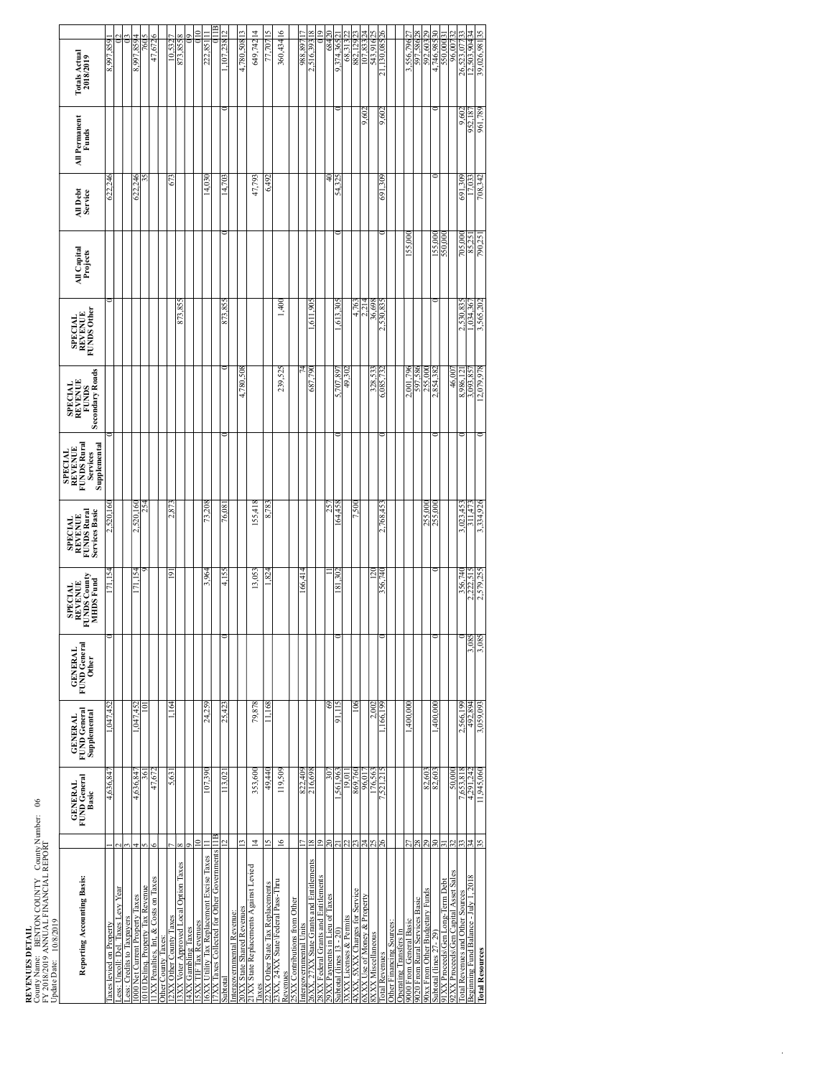**REVENUES DETAIL**<br>County Name: BENTON COUNTY County Number: 06<br>FY-2018/2019 ANNUAL FINANCIAL REPORT<br>Update Date: 10/8/2019 County Name: BENTON COUNTY County Number: 06<br>FY 2018/2019 ANNUAL FINANCIAL REPORT FY 2018/2019 ANNUAL FINANCIAL REPORT<br>Update Date: 10/8/2019

| Update Date: 10/8/2019                                   |                                         |                   |                                                |                                                |                                                               |                                                                          |                                                                             |                                                                     |                                                        |                         |                     |                               |                                   |  |
|----------------------------------------------------------|-----------------------------------------|-------------------|------------------------------------------------|------------------------------------------------|---------------------------------------------------------------|--------------------------------------------------------------------------|-----------------------------------------------------------------------------|---------------------------------------------------------------------|--------------------------------------------------------|-------------------------|---------------------|-------------------------------|-----------------------------------|--|
| Reporting Accounting Basis:                              | FUND General<br><b>GENERAL</b><br>Basic |                   | FUND General<br>Supplemental<br><b>GENERAL</b> | FUND General<br><b>GENERAL</b><br><b>Other</b> | <b>FUNDS County</b><br>MHDS Fund<br>REVENUE<br><b>SPECIAL</b> | FUNDS Rural<br><b>Services Basic</b><br><b>REVENUE</b><br><b>SPECIAL</b> | <b>FUNDS Rural</b><br>Supplemental<br>REVENUE<br><b>SPECIAL</b><br>Services | <b>Secondary Roads</b><br><b>SPECIAL</b><br>REVENUE<br><b>FUNDS</b> | <b>FUNDS Other</b><br><b>REVENUE</b><br><b>SPECIAL</b> | All Capital<br>Projects | All Debt<br>Service | <b>All Permanent</b><br>Funds | <b>Totals Actual</b><br>2018/2019 |  |
| laxes levied on Property                                 |                                         | 4,636,84          | ,047,452                                       |                                                |                                                               | 2,520,160                                                                |                                                                             |                                                                     |                                                        |                         | 622,24              |                               | 8,997,859                         |  |
| .ess: Uncoll: Del. Taxes Levy Year                       |                                         |                   |                                                |                                                |                                                               |                                                                          |                                                                             |                                                                     |                                                        |                         |                     |                               |                                   |  |
| .ess: Credits to Taxpayers                               |                                         |                   |                                                |                                                |                                                               |                                                                          |                                                                             |                                                                     |                                                        |                         |                     |                               |                                   |  |
| 000 Net Current Property Taxes                           |                                         | 4,636,84          | ,047,452                                       |                                                | Š                                                             | 2,520,160                                                                |                                                                             |                                                                     |                                                        |                         | 246<br>622.         |                               | 8,997,859                         |  |
| 010 Delinq. Property Tax Revenue                         |                                         | 361               | Ξ                                              |                                                |                                                               | 254                                                                      |                                                                             |                                                                     |                                                        |                         |                     |                               | 760                               |  |
| IXX Penalties, Int, & Costs on Taxes                     |                                         | 47.67             |                                                |                                                |                                                               |                                                                          |                                                                             |                                                                     |                                                        |                         |                     |                               | .67.                              |  |
| Other County Taxes:                                      |                                         |                   |                                                |                                                |                                                               |                                                                          |                                                                             |                                                                     |                                                        |                         |                     |                               |                                   |  |
| 2XX Other County Taxes                                   |                                         | 5,631             | $-164$                                         |                                                | $\overline{9}$                                                | 2.873                                                                    |                                                                             |                                                                     |                                                        |                         | 673                 |                               | 10,532                            |  |
| 3XX Voter Approved Local Option Taxes                    |                                         |                   |                                                |                                                |                                                               |                                                                          |                                                                             |                                                                     | 873,85                                                 |                         |                     |                               | 873.855                           |  |
| <b>4XX Gambling Taxes</b>                                |                                         |                   |                                                |                                                |                                                               |                                                                          |                                                                             |                                                                     |                                                        |                         |                     |                               |                                   |  |
| 5XX TIF Tax Revenues                                     | c                                       |                   |                                                |                                                |                                                               |                                                                          |                                                                             |                                                                     |                                                        |                         |                     |                               | Ξ                                 |  |
| 6XX Utility Tax Replacement Excise Taxes                 |                                         | 107,390           | 24.259                                         |                                                | 3.964                                                         | 73.208                                                                   |                                                                             |                                                                     |                                                        |                         | 14,030              |                               | 222.85                            |  |
| 7XX Taxes Collected for Other Governments                | ÎЩ                                      |                   |                                                |                                                |                                                               |                                                                          |                                                                             |                                                                     |                                                        |                         |                     |                               |                                   |  |
| ubtota                                                   |                                         | 113.02            | 25,423                                         |                                                | 4,15                                                          | 76.08                                                                    |                                                                             |                                                                     | 873,855                                                |                         | 14,703              |                               | .107.238                          |  |
| ntergovernmental Revenue:                                |                                         |                   |                                                |                                                |                                                               |                                                                          |                                                                             |                                                                     |                                                        |                         |                     |                               |                                   |  |
| 20XX State Shared Revenues                               | m                                       |                   |                                                |                                                |                                                               |                                                                          |                                                                             | 4,780,508                                                           |                                                        |                         |                     |                               | 4,780,508                         |  |
| 21XX State Replacements Against Levied<br>axes           | $\overline{4}$                          | 353,600           | 79,878                                         |                                                | 13,053                                                        | 155,418                                                                  |                                                                             |                                                                     |                                                        |                         | 47,793              |                               | 649,74214                         |  |
| 2XX Other State Tax Replacements                         |                                         | 49,440            | 11.168                                         |                                                | S.                                                            | 8,78.                                                                    |                                                                             |                                                                     |                                                        |                         | 6.49                |                               |                                   |  |
| 3XX, 24XX State\Federal Pass-Thru                        | $\geq$                                  | 119,509           |                                                |                                                |                                                               |                                                                          |                                                                             | 239,525                                                             | 1,400                                                  |                         |                     |                               | 360,43416                         |  |
| tevenues                                                 |                                         |                   |                                                |                                                |                                                               |                                                                          |                                                                             |                                                                     |                                                        |                         |                     |                               |                                   |  |
| :5XX Contributions from Other                            |                                         |                   |                                                |                                                |                                                               |                                                                          |                                                                             |                                                                     |                                                        |                         |                     |                               |                                   |  |
| ntergovernmental Units                                   |                                         | 822,409           |                                                |                                                | 166,41                                                        |                                                                          |                                                                             |                                                                     |                                                        |                         |                     |                               | 988.89                            |  |
| 6XX, 27XX State Grants and Entitlements                  | œ                                       | 216,698           |                                                |                                                |                                                               |                                                                          |                                                                             | 687,790                                                             | .611.90                                                |                         |                     |                               | $\infty$<br>2,516,393             |  |
| 28XX Federal Grants and Entitlements                     | $\circ$                                 |                   |                                                |                                                |                                                               |                                                                          |                                                                             |                                                                     |                                                        |                         |                     |                               |                                   |  |
| 9XX Payments in Lieu of Taxes                            |                                         | $\approx$         | 3                                              |                                                |                                                               | 25                                                                       |                                                                             |                                                                     |                                                        |                         | ₹                   |                               | 684                               |  |
| iubtotal (lines 13 - 20)                                 |                                         | ,561,963          | 91.115                                         |                                                | 181.30                                                        | 164.458                                                                  |                                                                             | 5,707.89                                                            | ,613.30 <sup>2</sup>                                   |                         | 54.32               |                               | 9,374,365                         |  |
| XXX Licenses & Permits                                   |                                         | 19.01             |                                                |                                                |                                                               |                                                                          |                                                                             | 49,302                                                              |                                                        |                         |                     |                               | 68,313                            |  |
| XXX, 5XXX Charges for Service                            |                                         | 869,760<br>96,017 | $\frac{8}{3}$                                  |                                                |                                                               | 7,500                                                                    |                                                                             |                                                                     | 4,763                                                  |                         |                     |                               | 882,129                           |  |
| XXX Use of Money & Property<br><b>SXXX</b> Miscellaneous | 4<br>Ň,                                 | 176,563           | 2,002                                          |                                                | Ñ                                                             |                                                                          |                                                                             | 328,53                                                              | 36,698<br>2.21                                         |                         |                     | 9,602                         | 543,916<br>107,833                |  |
| otal Revenues                                            | ă                                       | .521,21           | .166,199                                       |                                                | 356,740                                                       | 768,45                                                                   |                                                                             | 6,085,73                                                            | 530.83                                                 |                         | 691,309             | 9,602                         | 26<br>,130,085<br>ಸ               |  |
| Other Financing Sources:                                 |                                         |                   |                                                |                                                |                                                               |                                                                          |                                                                             |                                                                     |                                                        |                         |                     |                               |                                   |  |
| <b>Operating Transfers In</b>                            |                                         |                   |                                                |                                                |                                                               |                                                                          |                                                                             |                                                                     |                                                        |                         |                     |                               |                                   |  |
| 9000 From General Basic                                  |                                         |                   | ,400,000                                       |                                                |                                                               |                                                                          |                                                                             | 2,001,79                                                            |                                                        | 155,00                  |                     |                               | 3,556,796                         |  |
| 9020 From Rural Services Basic                           | é,                                      |                   |                                                |                                                |                                                               |                                                                          |                                                                             | 597,58                                                              |                                                        |                         |                     |                               | 597,586                           |  |
| 90xx From Other Budgetary Funds                          | 29                                      | 82,603            |                                                |                                                |                                                               | 255,000                                                                  |                                                                             | 255,000                                                             |                                                        |                         |                     |                               | 29<br>592,603                     |  |
| Subtotal (lines 27-29)                                   | š                                       | 82,603            | ,400,000                                       |                                                |                                                               | 255,00                                                                   |                                                                             | 2,854,38                                                            |                                                        | 155,000                 |                     |                               | 4.746.985                         |  |
| IXX Proceeds\Gen Long-Term Debt                          |                                         |                   |                                                |                                                |                                                               |                                                                          |                                                                             |                                                                     |                                                        | 550.00                  |                     |                               | 550,000                           |  |
| 2XX Proceeds\Gen Capital Asset Sales                     |                                         | 50,000            |                                                |                                                |                                                               |                                                                          |                                                                             | 46,007                                                              |                                                        |                         |                     |                               | 96,007                            |  |
| otal Revenues and Other Sources                          |                                         | 7,653,81          | 2,566,199                                      |                                                | 356,74                                                        | 3,023,45                                                                 |                                                                             | 8,986,12                                                            | 2,530,83                                               | 705,000                 | 691.309             | 9,60                          | 26,523,07                         |  |
| Beginning Fund Balance - July 1, 2018                    | 34                                      | 4,291,242         | 492,894                                        | 3,085                                          | 2,222,51                                                      | 311.47                                                                   |                                                                             | 3,093,85                                                            | 1,034,36                                               | 85,25                   | 17.03               | 952,18                        | 12,503,90434                      |  |
| <b>Total Resources</b>                                   | 35                                      | 11,945,060        | 3,059,093                                      | 3,085                                          | 2,579,255                                                     | 3,334,926                                                                |                                                                             | 12,079,978                                                          | 3,565,202                                              | 790,251                 | 708,342             | 961,789                       | 39,026,98135                      |  |
|                                                          |                                         |                   |                                                |                                                |                                                               |                                                                          |                                                                             |                                                                     |                                                        |                         |                     |                               |                                   |  |

**Total Resources** 35 11,945,060 3,059,093 3,085 2,579,255 3,334,926 0 12,079,978 3,565,202 790,251 708,342 961,789 39,026,98135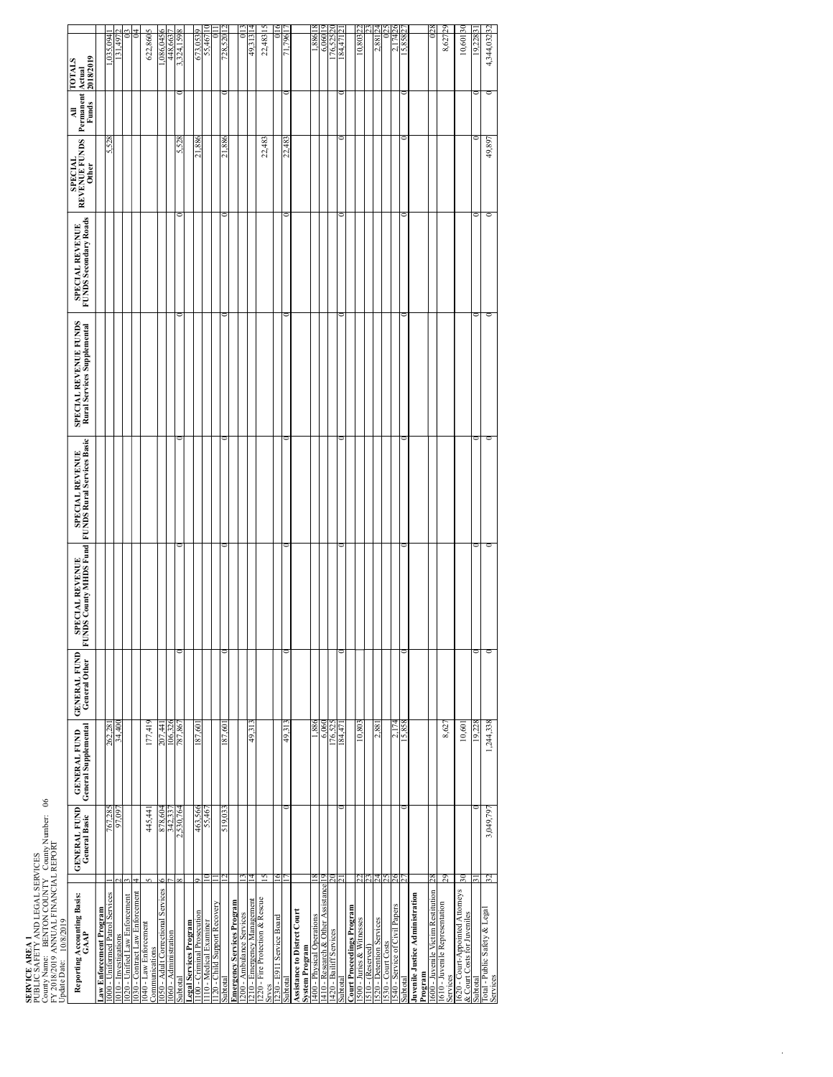**SERVICE AREA 1**<br>COBLIC SAFE 1<br>COBLIC SAFE BRITON COUNTY Compy Number: 06<br>FY 2018/2019 ANNUAL FINANCIAL REPORT<br>FY 2018/2019 ANNUAL FINANCIAL REPORT PUBLIC SAFETY AND LEGAL SERVICES County Name: BENTON COUNTY County Number: 06<br>FY 2018/2019 ANNUAL FINANCIAL REPORT

| FY 2018/2019 ANNUAL FINANCIAL REPORT<br>Update Date:     10/8/2019 |                                      |                                             |                                             |                                           |                                               |                                                      |                                          |                                          |                |                                      |
|--------------------------------------------------------------------|--------------------------------------|---------------------------------------------|---------------------------------------------|-------------------------------------------|-----------------------------------------------|------------------------------------------------------|------------------------------------------|------------------------------------------|----------------|--------------------------------------|
| Reporting Accounting Basis:<br>GAAP                                | <b>GENERAL FUND</b><br>General Basic | <b>GENERAL FUND</b><br>General Supplemental | <b>GENERAL FUND</b><br><b>General Other</b> | SPECIAL REVENUE<br>FUNDS County MHDS Fund | SPECIAL REVENUE<br>FUNDS Rural Services Basic | SPECIAL REVENUE FUNDS<br>Rural Services Supplemental | SPECIAL REVENUE<br>FUNDS Secondary Roads | REVENUE FUNDS<br><b>SPECIAL</b><br>Other | Permanent<br>₹ | 2018/2019<br><b>FOTALS</b><br>Actual |
| Law Enforcement Program                                            |                                      |                                             |                                             |                                           |                                               |                                                      |                                          |                                          |                |                                      |
| 000 - Uniformed Patrol Services                                    | 767,285                              | 262,281                                     |                                             |                                           |                                               |                                                      |                                          | 5,528                                    |                | ,035,094                             |
| 1010 - Investigations                                              | 97,097                               | 34,400                                      |                                             |                                           |                                               |                                                      |                                          |                                          |                | 131,497                              |
| 020 - Unified Law Enforcement                                      |                                      |                                             |                                             |                                           |                                               |                                                      |                                          |                                          |                |                                      |
| 030 - Contract Law Enforcement                                     |                                      |                                             |                                             |                                           |                                               |                                                      |                                          |                                          |                |                                      |
| 040 - Law Enforcement<br><b>Communications</b>                     | 445,441                              | 177,419                                     |                                             |                                           |                                               |                                                      |                                          |                                          |                | 622,8605                             |
| 050 - Adult Correctional Services                                  | 878,604                              |                                             |                                             |                                           |                                               |                                                      |                                          |                                          |                | \$40,086                             |
| 060 - Administration                                               | 342.33                               | 207,441<br>106,326<br>787,867               |                                             |                                           |                                               |                                                      |                                          |                                          |                | 448.663                              |
| iubtota                                                            | 2,530,764                            |                                             |                                             |                                           |                                               |                                                      |                                          | 5,528                                    |                | .324.159                             |
| egal Services Program                                              |                                      |                                             |                                             |                                           |                                               |                                                      |                                          |                                          |                |                                      |
| 100 - Criminal Prosecution                                         | 463,566<br>55,467                    | 187,601                                     |                                             |                                           |                                               |                                                      |                                          | 21,886                                   |                | 673,0539                             |
| 110 - Medical Examiner                                             |                                      |                                             |                                             |                                           |                                               |                                                      |                                          |                                          |                | 55.467                               |
| 20 - Child Support Recovery                                        |                                      |                                             |                                             |                                           |                                               |                                                      |                                          |                                          |                |                                      |
| ubtotal                                                            | 519,033                              | 187,601                                     |                                             |                                           |                                               |                                                      |                                          | 21,886                                   |                | 728,520                              |
| mergency Services Program                                          |                                      |                                             |                                             |                                           |                                               |                                                      |                                          |                                          |                |                                      |
| 200 - Ambulance Services<br>210 - Emergency Management             |                                      |                                             |                                             |                                           |                                               |                                                      |                                          |                                          |                |                                      |
|                                                                    |                                      | 49,313                                      |                                             |                                           |                                               |                                                      |                                          |                                          |                | 49,313                               |
| 220 - Fire Protection & Rescue                                     |                                      |                                             |                                             |                                           |                                               |                                                      |                                          | 22,483                                   |                | 22,483                               |
| rvcs                                                               |                                      |                                             |                                             |                                           |                                               |                                                      |                                          |                                          |                |                                      |
| 230 - E911 Service Board                                           |                                      |                                             |                                             |                                           |                                               |                                                      |                                          |                                          |                |                                      |
| ubtotal                                                            |                                      | 49,31                                       |                                             |                                           |                                               |                                                      |                                          | 22.483                                   |                | 796                                  |
| Assistance to Distrct Court<br>System Program                      |                                      |                                             |                                             |                                           |                                               |                                                      |                                          |                                          |                |                                      |
| 400 - Physical Operations                                          |                                      | 988.1                                       |                                             |                                           |                                               |                                                      |                                          |                                          |                | 1,886                                |
| 410 - Research & Other Assistance                                  |                                      | 6,060                                       |                                             |                                           |                                               |                                                      |                                          |                                          |                | 6.060                                |
| 420 - Bailiff Services                                             |                                      | 176,525                                     |                                             |                                           |                                               |                                                      |                                          |                                          |                | 76,525                               |
| ubtotal                                                            |                                      | 184,471                                     |                                             |                                           |                                               |                                                      |                                          |                                          |                | 184,471                              |
| <b>Court Proceedings Program</b>                                   |                                      |                                             |                                             |                                           |                                               |                                                      |                                          |                                          |                |                                      |
| 500 - Juries & Witnesses                                           |                                      | 10,803                                      |                                             |                                           |                                               |                                                      |                                          |                                          |                | Ñ<br>10,803                          |
| 510 - (Reserved)                                                   |                                      |                                             |                                             |                                           |                                               |                                                      |                                          |                                          |                |                                      |
| 520 - Detention Services                                           |                                      | 2,881                                       |                                             |                                           |                                               |                                                      |                                          |                                          |                | 2.881                                |
| 530 - Court Costs                                                  |                                      |                                             |                                             |                                           |                                               |                                                      |                                          |                                          |                |                                      |
| 540 - Service of Civil Papers                                      |                                      | ಸ                                           |                                             |                                           |                                               |                                                      |                                          |                                          |                | 74                                   |
| subtotal                                                           |                                      | 15,858                                      |                                             |                                           |                                               |                                                      |                                          |                                          |                | 15,858                               |
| uvenile Justice Administration<br>rogram                           |                                      |                                             |                                             |                                           |                                               |                                                      |                                          |                                          |                |                                      |
| 600 - Juvenile Victim Restitution                                  |                                      |                                             |                                             |                                           |                                               |                                                      |                                          |                                          |                |                                      |
| 610 - Juvenile Representation<br>services                          | 29                                   | 8,627                                       |                                             |                                           |                                               |                                                      |                                          |                                          |                | 429<br>8,627                         |
| & Court-Costs for Juveniles<br>& Court Costs for Juveniles         | $\overline{\mathrm{s}}$              | 10,601                                      |                                             |                                           |                                               |                                                      |                                          |                                          |                | $\frac{8}{3}$<br>10,601              |
| ubtotal                                                            |                                      | 19,228                                      |                                             |                                           |                                               |                                                      |                                          |                                          |                | 19,228 3                             |
| Total - Public Safety & Legal<br>Services                          | 3,049,797<br>32                      | 1,244,338                                   |                                             |                                           | O                                             |                                                      |                                          | 49,897                                   | $\circ$        | 4,344,03232                          |
|                                                                    |                                      |                                             |                                             |                                           |                                               |                                                      |                                          |                                          |                |                                      |

ا المواجهة المستخدمة المواجهة المواجهة المواجهة والمستخدمة المواجهة المواجهة المواجهة المواجهة المواجهة المواجهة<br>Services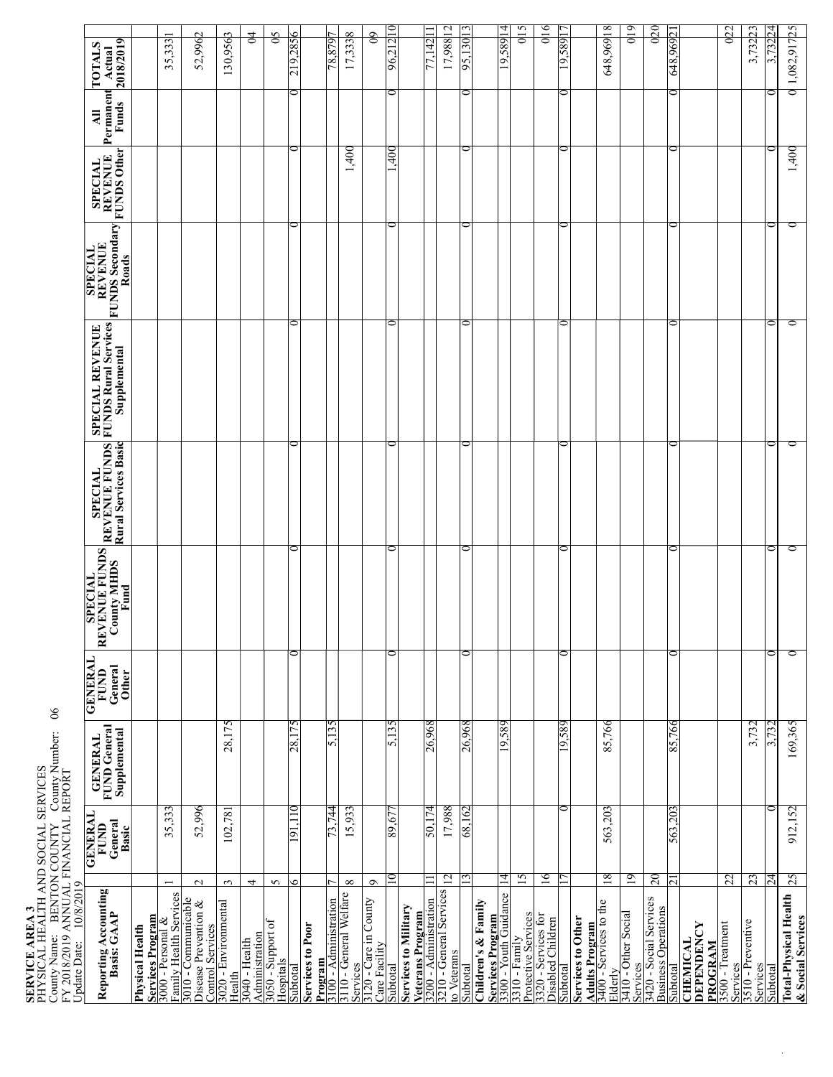### **SE RVIC E A R E A <sup>3</sup>** E31 YSICAL<br>unty Nan<br>aci HEALTH<br>e: BEN<br>. AND SO<br>ON COL CIAL SE<br>NTY<br>C RVIC<br>Jounty ≌ ∑ County Name: BENTON COUNTY<br>FY 2018/2019 ANNUAL FINANCIA<br>COUNTY County Number: 06 RT

| 2018/2019<br><b>TOTALS</b><br>Actual<br>Permanent<br>Funds<br>$\overline{A}$                             |                 | 35,333                                                          | 52,9962                                                                   | 130,9563                                      | $\overline{5}$     | $\frac{5}{6}$                                              | 219,2856<br>0 |                         | 78,8797                                                    | 17,3338              | $\overline{6}$                                    | 96,21210<br>$\circ$ |                             | 77.14211 | 17,988 12                                                                                                                      | 95,13013<br>0 |                     | 19,58914                                                        | $\frac{15}{1}$ | $\frac{16}{1}$                                                        | 19,58917<br>0 |                                                                      | 648,969 18 | $\frac{610}{2}$                                  | $\frac{5}{2}$                                              | 648,96921<br>0 |                                                 | $\frac{22}{2}$         | 3,73223                                                     | 3.73224<br>c   | $0 1,082,917$ <sub>25</sub>  |
|----------------------------------------------------------------------------------------------------------|-----------------|-----------------------------------------------------------------|---------------------------------------------------------------------------|-----------------------------------------------|--------------------|------------------------------------------------------------|---------------|-------------------------|------------------------------------------------------------|----------------------|---------------------------------------------------|---------------------|-----------------------------|----------|--------------------------------------------------------------------------------------------------------------------------------|---------------|---------------------|-----------------------------------------------------------------|----------------|-----------------------------------------------------------------------|---------------|----------------------------------------------------------------------|------------|--------------------------------------------------|------------------------------------------------------------|----------------|-------------------------------------------------|------------------------|-------------------------------------------------------------|----------------|------------------------------|
| $\begin{tabular}{ c c } \hline SPECAL & \cr REVENUE & \cr FUNDSOther \\ \hline \end{tabular}$            |                 |                                                                 |                                                                           |                                               |                    |                                                            | 0             |                         |                                                            | 1,400                |                                                   | $\overline{90}$     |                             |          |                                                                                                                                | 0             |                     |                                                                 |                |                                                                       | ⊂             |                                                                      |            |                                                  |                                                            | 0              |                                                 |                        |                                                             |                |                              |
| <b>REVENUE<br/>FUNDS Secondary</b><br><b>SPECIAL</b><br>Roads                                            |                 |                                                                 |                                                                           |                                               |                    |                                                            | 0             |                         |                                                            |                      |                                                   | $\circ$             |                             |          |                                                                                                                                | 0             |                     |                                                                 |                |                                                                       | 0             |                                                                      |            |                                                  |                                                            | 0              |                                                 |                        |                                                             | ⊂              |                              |
| <b>SPECIAL REVENUE</b><br>FUNDS Rural Services<br>Supplemental                                           |                 |                                                                 |                                                                           |                                               |                    |                                                            | 0             |                         |                                                            |                      |                                                   | 0                   |                             |          |                                                                                                                                | 0             |                     |                                                                 |                |                                                                       | 0             |                                                                      |            |                                                  |                                                            | 0              |                                                 |                        |                                                             | ⊂              |                              |
| <b>REVENUE FUNDS</b><br>Rural Services Basic<br><b>SPECIAL</b>                                           |                 |                                                                 |                                                                           |                                               |                    |                                                            | 0             |                         |                                                            |                      |                                                   | 0                   |                             |          |                                                                                                                                | 0             |                     |                                                                 |                |                                                                       | 0             |                                                                      |            |                                                  |                                                            | 0              |                                                 |                        |                                                             | ⊂              |                              |
| <b>EVENUE FUNDS<br/>County MHDS</b><br><b>SPECIAL</b><br>Fund<br>≃                                       |                 |                                                                 |                                                                           |                                               |                    |                                                            | ⊂             |                         |                                                            |                      |                                                   | 0                   |                             |          |                                                                                                                                | ⊂             |                     |                                                                 |                |                                                                       | 0             |                                                                      |            |                                                  |                                                            | 0              |                                                 |                        |                                                             |                |                              |
| <b>GENERAL</b><br>General<br><b>FUND</b><br><b>Other</b>                                                 |                 |                                                                 |                                                                           |                                               |                    |                                                            | 0             |                         |                                                            |                      |                                                   | $\circ$             |                             |          |                                                                                                                                | $\circ$       |                     |                                                                 |                |                                                                       | 0             |                                                                      |            |                                                  |                                                            | 0              |                                                 |                        |                                                             | 0              |                              |
| <b>FUND</b> General<br>Supplemental<br><b>GENERAL</b>                                                    |                 |                                                                 |                                                                           | 28,175                                        |                    |                                                            | 28,175        |                         | 5,135                                                      |                      |                                                   | 5,135               |                             | 26,968   |                                                                                                                                | 26,968        |                     | 19,589                                                          |                |                                                                       | 19,589        |                                                                      | 85,766     |                                                  |                                                            | 85,766         |                                                 |                        | 3,732                                                       | 3.732          |                              |
| General<br><b>GENERA</b><br><b>FUND</b><br>Basic                                                         |                 | 35,333                                                          | 52,996                                                                    | 102,781                                       |                    |                                                            | 191.110       |                         | 73,744                                                     | 15,933               |                                                   | 89,677              |                             | 50,174   | 17,988                                                                                                                         | 68,162        |                     |                                                                 |                |                                                                       | 0             |                                                                      | 563,203    |                                                  |                                                            | 563,203        |                                                 |                        |                                                             | c              |                              |
| FY 2018/2019 ANNUAL FINANCIAL REPORT<br>Update Date:    10/8/2019<br>Reporting Accounting<br>Basis: GAAP | Physical Health | Services Program<br>3000 - Personal &<br>Family Health Services | $\sim$<br>3010 - Communicable<br>Disease Prevention &<br>Control Services | $\tilde{3}$<br>3020 - Environmental<br>Health | 4<br>3040 - Health | $\sim$<br>Administration<br>3050 - Support of<br>Hospitals | ۰<br>Subtota  | <b>Services to Poor</b> | Program<br>3100 - Administration<br>3110 - General Welfare | $\infty$<br>Services | $\circ$<br>3120 - Care in County<br>Care Facility | 10<br>lepoppR       | <b>Services to Military</b> |          | 12<br>$\frac{\text{Vectors of the function}}{3200 - \text{Administration}}$<br>$3210 - \text{General Services}$<br>to Veterans | Subtotal      | Children's & Family | 4<br>Services Program<br>3300 - Youth Guidance<br>3310 - Family | 15             | 16<br>Protective Services<br>3320 - Services for<br>Disabled Children | Subtotal      | <b>Adults Program</b><br>3400 - Services to the<br>Services to Other | 18         | 19<br>Elderly<br>3410 - Other Social<br>Services | 20<br>3420 - Social Services<br><b>Business Operations</b> | ಸ<br>Subtotal  | DEPENDENCY<br><b>CHEMICAL</b><br><b>PROGRAM</b> | 22<br>3500 - Treatment | 23<br>510 - Preventive<br>Services<br>3510 - Pr<br>Services | 74<br>iubtotal | <b>Total-Physical Health</b> |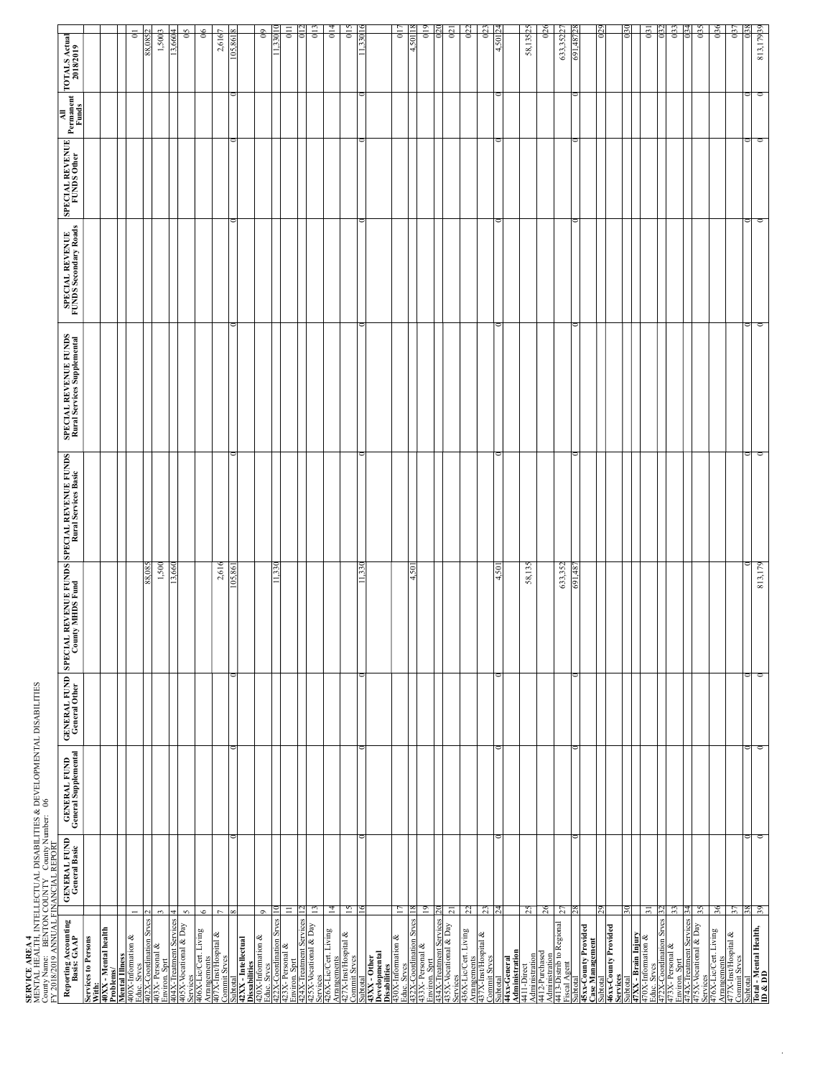**SERVICE AREA 4**<br>MENTAL HEALTH, INTELLECTUAL DISABILITIES & DEVELOPMENTAL DISABILITIES County Name: . BENTON COUNTY . County Number: 06 MENTAL HEALTH, INTELLECTUAL DISABILITIES & DEVELOPMENTAL DISABILITIES<br>County Name: BENTON COUNTY County Number: 06<br>.

| County Name:    BENTON COUNTY    County Number:<br>FY 2018/2019 ANNUAL FINANCIAL REPORT<br>Reporting Accounting<br>Basis: GAAP                                       | <b>GENERAL FUND</b><br>General Basic | <b>GENERAL FUND</b><br>General Supplemental<br>$\frac{6}{3}$ | <b>GENERAL FUND SPECIAL</b><br>General Other Coun | . REVENUE FUNDS<br>ty MHDS Fund | SPECIAL REVENUE FUNDS<br>Rural Services Basic | SPECIAL REVENUE FUNDS<br>Rural Services Supplemental | SPECIAL REVENUE<br>FUNDS Secondary Roads | SPECIAL REVENUE | MI<br>Permanent<br>Funds | <b>TOTALS Actual</b><br>2018/2019 |
|----------------------------------------------------------------------------------------------------------------------------------------------------------------------|--------------------------------------|--------------------------------------------------------------|---------------------------------------------------|---------------------------------|-----------------------------------------------|------------------------------------------------------|------------------------------------------|-----------------|--------------------------|-----------------------------------|
| <b>Services to Persons</b>                                                                                                                                           |                                      |                                                              |                                                   |                                 |                                               |                                                      |                                          |                 |                          |                                   |
| With:<br>40XX - Mental health<br>Problems/                                                                                                                           |                                      |                                                              |                                                   |                                 |                                               |                                                      |                                          |                 |                          |                                   |
|                                                                                                                                                                      |                                      |                                                              |                                                   |                                 |                                               |                                                      |                                          |                 |                          |                                   |
| <b>Mental Illness</b><br>HONX-Information &<br>HONX-Information Seves 2<br>403X-Personal &<br>403X-Verstonal & Day<br>405X-Vocational & Day<br>405X-Vocational & Day |                                      |                                                              |                                                   |                                 |                                               |                                                      |                                          |                 |                          | $\overline{a}$                    |
|                                                                                                                                                                      |                                      |                                                              |                                                   | 88,085<br>1,500                 |                                               |                                                      |                                          |                 |                          | 1,5003<br>88,0852                 |
|                                                                                                                                                                      |                                      |                                                              |                                                   | ⊽<br>$\tilde{ }$                |                                               |                                                      |                                          |                 |                          | Š                                 |
| v                                                                                                                                                                    |                                      |                                                              |                                                   |                                 |                                               |                                                      |                                          |                 |                          | $\frac{5}{2}$                     |
| $\circ$<br>Services<br>406X-Lic/Cert. Living<br>Arrangements                                                                                                         |                                      |                                                              |                                                   |                                 |                                               |                                                      |                                          |                 |                          | $\frac{6}{3}$                     |
| 107X-Inst/Hospital &<br>Commit Srves                                                                                                                                 |                                      |                                                              |                                                   | 2,616                           |                                               |                                                      |                                          |                 |                          | 2,6167                            |
|                                                                                                                                                                      |                                      |                                                              |                                                   |                                 |                                               |                                                      |                                          |                 |                          |                                   |
| Subtotal<br>42XX - Intellectual<br>Dissabilities                                                                                                                     |                                      |                                                              |                                                   |                                 |                                               |                                                      |                                          |                 |                          |                                   |
| $\circ$<br>420X-Information &<br>Educ. Srves<br>422X-Coordination Srves<br>Envix-Persmal &<br>425X-Vocational & Day<br>425X-Vocational & Day                         |                                      |                                                              |                                                   |                                 |                                               |                                                      |                                          |                 |                          | $\mathbf{e}$                      |
|                                                                                                                                                                      |                                      |                                                              |                                                   | 330                             |                                               |                                                      |                                          |                 |                          | 3010                              |
| $\equiv$                                                                                                                                                             |                                      |                                                              |                                                   |                                 |                                               |                                                      |                                          |                 |                          | 011                               |
| 13                                                                                                                                                                   |                                      |                                                              |                                                   |                                 |                                               |                                                      |                                          |                 |                          | $^{013}$                          |
| $^{14}$<br>ervices<br>26X-Lic/Cert. Living                                                                                                                           |                                      |                                                              |                                                   |                                 |                                               |                                                      |                                          |                 |                          | 0 <sup>14</sup>                   |
| Arrangements<br>427X-Inst/Hospital &<br>Commit Srves                                                                                                                 |                                      |                                                              |                                                   |                                 |                                               |                                                      |                                          |                 |                          |                                   |
| 15                                                                                                                                                                   |                                      |                                                              |                                                   | 330                             |                                               |                                                      |                                          |                 |                          | 015                               |
|                                                                                                                                                                      |                                      |                                                              |                                                   |                                 |                                               |                                                      |                                          | ∍               |                          |                                   |
|                                                                                                                                                                      |                                      |                                                              |                                                   |                                 |                                               |                                                      |                                          |                 |                          |                                   |
| Ξ<br>Subtoal<br>Developmental<br>Developmental<br>Disabilities<br>Educ Srecs<br>432X-Coordination Sves  <br>432X-Coordination Sves  <br>Environ, Spr                 |                                      |                                                              |                                                   |                                 |                                               |                                                      |                                          |                 |                          | 017                               |
|                                                                                                                                                                      |                                      |                                                              |                                                   | .501<br>4                       |                                               |                                                      |                                          |                 |                          | 501<br>ы                          |
| $\overline{5}$                                                                                                                                                       |                                      |                                                              |                                                   |                                 |                                               |                                                      |                                          |                 |                          | 019                               |
| Environ. Sprt<br>434X-Treatment Services $\frac{2435X-1}{25X-1}$                                                                                                     |                                      |                                                              |                                                   |                                 |                                               |                                                      |                                          |                 |                          | $^{021}$<br>$\approx$             |
| $\overline{a}$                                                                                                                                                       |                                      |                                                              |                                                   |                                 |                                               |                                                      |                                          |                 |                          |                                   |
| 22                                                                                                                                                                   |                                      |                                                              |                                                   |                                 |                                               |                                                      |                                          |                 |                          | 0 <sup>22</sup>                   |
| $\mathbb{Z}$<br>Services<br>436X-Lic/Cert Living<br>Arrangements<br>437X-Inst/Hospital &<br>Commit Srves                                                             |                                      |                                                              |                                                   |                                 |                                               |                                                      |                                          |                 |                          | 023                               |
|                                                                                                                                                                      |                                      |                                                              |                                                   | 501<br>4                        |                                               |                                                      |                                          |                 |                          | ↤                                 |
|                                                                                                                                                                      |                                      |                                                              |                                                   |                                 |                                               |                                                      |                                          |                 |                          |                                   |
| 25<br>Subtotal<br>44x-General<br>Administration<br>4411-Direct<br>Administration<br>4412-Purchased                                                                   |                                      |                                                              |                                                   | 58,135                          |                                               |                                                      |                                          |                 |                          | 58,13525                          |
| $^{26}$                                                                                                                                                              |                                      |                                                              |                                                   |                                 |                                               |                                                      |                                          |                 |                          | 026                               |
| 57<br>Administration<br>4413-Distrib to Regional<br>Fiscal Agent                                                                                                     |                                      |                                                              |                                                   | 633,352                         |                                               |                                                      |                                          |                 |                          | 633,35227                         |
| Subtotal                                                                                                                                                             |                                      |                                                              |                                                   | 691,48                          |                                               |                                                      |                                          | 0               |                          | 691.487                           |
| 45xx-County Provided<br>Case Management                                                                                                                              |                                      |                                                              |                                                   |                                 |                                               |                                                      |                                          |                 |                          |                                   |
| Subtotal<br>46xx-County Provided<br>Services                                                                                                                         |                                      |                                                              |                                                   |                                 |                                               |                                                      |                                          |                 |                          | 67                                |
|                                                                                                                                                                      |                                      |                                                              |                                                   |                                 |                                               |                                                      |                                          |                 |                          | 030                               |
|                                                                                                                                                                      |                                      |                                                              |                                                   |                                 |                                               |                                                      |                                          |                 |                          |                                   |
| $\overline{5}$<br>Subtotal<br>47XX - Brain Injury<br>470X-Information &<br>Educ. Srves                                                                               |                                      |                                                              |                                                   |                                 |                                               |                                                      |                                          |                 |                          | 031                               |
|                                                                                                                                                                      |                                      |                                                              |                                                   |                                 |                                               |                                                      |                                          |                 |                          |                                   |
| ౘ<br>172X-Coordination Srves<br>173X- Personal &<br>Environ. Sprt<br>174X-Treatnonal & Day                                                                           |                                      |                                                              |                                                   |                                 |                                               |                                                      |                                          |                 |                          | 033<br>034                        |
| 35                                                                                                                                                                   |                                      |                                                              |                                                   |                                 |                                               |                                                      |                                          |                 |                          | oß                                |
| Services<br>476X-Lic/Cert Living<br>Arrangements<br>477X-Inst/Hospital &<br>Commit Srves                                                                             |                                      |                                                              |                                                   |                                 |                                               |                                                      |                                          |                 |                          |                                   |
| 36                                                                                                                                                                   |                                      |                                                              |                                                   |                                 |                                               |                                                      |                                          |                 |                          | 036                               |
| $\tilde{\varepsilon}$                                                                                                                                                |                                      |                                                              |                                                   |                                 |                                               |                                                      |                                          |                 |                          | 037                               |
| $\frac{38}{39}$<br>puntotal<br>Total - Mental Health,<br>ID & DD                                                                                                     |                                      | $\circ$                                                      | o                                                 | 813,179                         | ⊂                                             |                                                      |                                          | $\circ$         |                          | 813,17939<br>$^{038}$             |
|                                                                                                                                                                      |                                      |                                                              |                                                   |                                 |                                               |                                                      |                                          |                 |                          |                                   |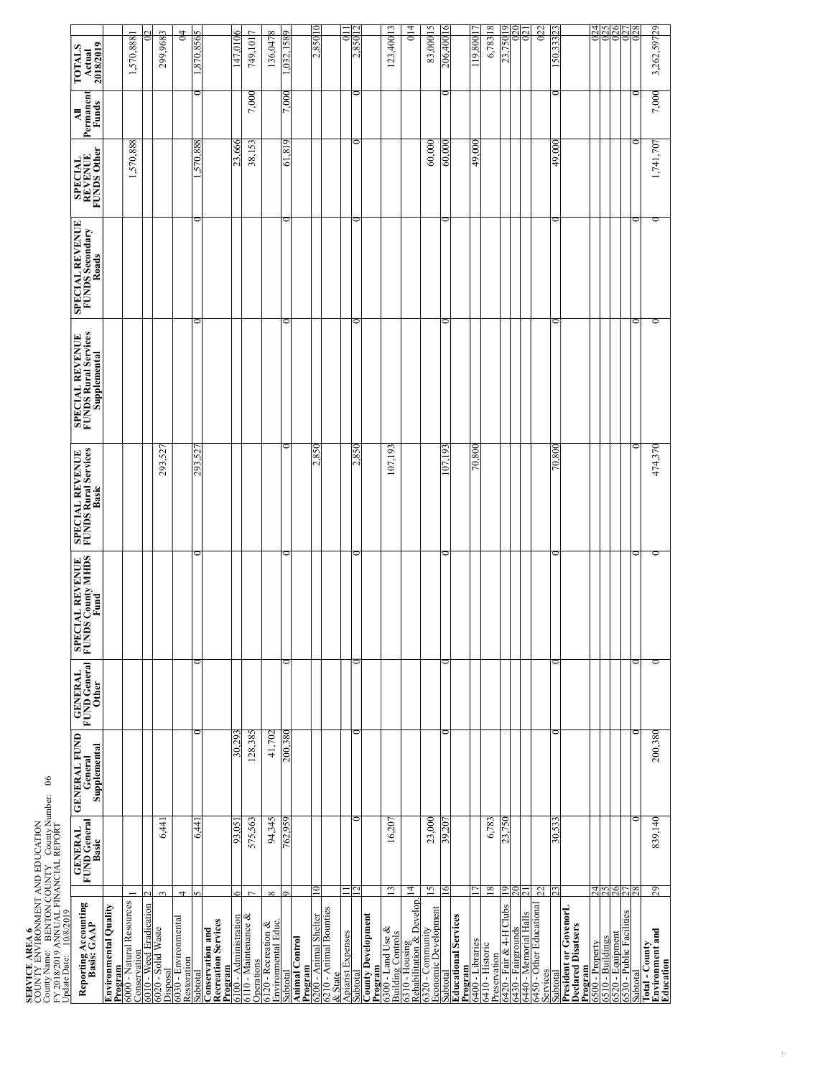## **SERVICE AREA 6**<br>COUNTY ENVIRONMENT AND EDUCATION<br>COUNTY ENVIRONMENT AND EDUCATION<br>FY 2018/2019 ANNI AT EDA ANTAL TOMAY AND THE COUNTY

COUNTY ENVIRONMENT AND EDUCATION<br>County Name: BENTON COUNTY County N County Name: BENTON COUNTY County Number: 06

| CENEDAL LA CENED                                                                                                                                                                                                               |                        |
|--------------------------------------------------------------------------------------------------------------------------------------------------------------------------------------------------------------------------------|------------------------|
|                                                                                                                                                                                                                                | Update Date: 10/8/2019 |
| FY 2018/2019 ANNUAL FINANCIAL REPORT                                                                                                                                                                                           |                        |
| selling in the control of the college to the college of the college of the college of the college of the college of the college of the college of the college of the college of the college of the college of the college of t |                        |

| 6108/8/11<br>paare Date:                                     |                                         |                                                |                                          |                                                                |                                                                 |                                                                  |                                                               |                                   |                         |                                      |
|--------------------------------------------------------------|-----------------------------------------|------------------------------------------------|------------------------------------------|----------------------------------------------------------------|-----------------------------------------------------------------|------------------------------------------------------------------|---------------------------------------------------------------|-----------------------------------|-------------------------|--------------------------------------|
| Reporting Accounting<br>Basis: GAAP                          | GENERAL<br>FUND General<br>EUND General | <b>GENERAL FUND</b><br>General<br>Supplemental | <b>GENERAL</b><br>FUND General<br>CHERAL | CIAL REVENUE<br>DS County MHDS<br>Fund<br><b>SPECI</b><br>DECI | <b>SPECIAL REVENUE<br/>FUNDS Rural Services<br/>FUNDS Rural</b> | <b>SPECIAL REVENUE<br/>FUNDS Rural Services<br/>Supplemental</b> | <b>SPECIAL REVENUE<br/>FUNDS SCONDE<br/>HUNEVER LA SENGES</b> | SPECIAL<br>REVENUE<br>FUNDS Other | Permanent<br>Funds<br>₹ | Actual<br>2018/2019<br><b>TOTALS</b> |
| <b>Environmental Quality</b><br>Program                      |                                         |                                                |                                          |                                                                |                                                                 |                                                                  |                                                               |                                   |                         |                                      |
| 5000 - Natural Resources<br>onservation                      |                                         |                                                |                                          |                                                                |                                                                 |                                                                  |                                                               | 1,570,888                         |                         | 1,570,888                            |
| 5010 - Weed Eradication                                      |                                         |                                                |                                          |                                                                |                                                                 |                                                                  |                                                               |                                   |                         |                                      |
| 6020 - Solid Waste<br>Disposal                               | 6,44<br>$\tilde{\phantom{a}}$           |                                                |                                          |                                                                | 293,527                                                         |                                                                  |                                                               |                                   |                         | 299,9683                             |
| 4<br>5030 - Environmental<br>Restoration                     |                                         |                                                |                                          |                                                                |                                                                 |                                                                  |                                                               |                                   |                         | Ź                                    |
| r<br>ubtota                                                  | 644                                     | ⋍                                              |                                          |                                                                | 293,52                                                          |                                                                  |                                                               | .570,888                          | ∍                       | 1,870,8565                           |
| <b>Recreation Services</b><br>onservation and                |                                         |                                                |                                          |                                                                |                                                                 |                                                                  |                                                               |                                   |                         |                                      |
| Program<br>6100 - Administration                             | 93.05<br>٥                              | 30,293                                         |                                          |                                                                |                                                                 |                                                                  |                                                               | 23,666                            |                         | 147.01                               |
| $\overline{ }$<br>5110 - Maintenance &<br>perations          | 575,563                                 | 128,385                                        |                                          |                                                                |                                                                 |                                                                  |                                                               | 38,153                            | 7,000                   | Þ<br>749,101                         |
| 120 - Recreation &<br>invironmental Educ.                    | 94,345<br>$\infty$                      | 41,702                                         |                                          |                                                                |                                                                 |                                                                  |                                                               |                                   |                         | $\infty$<br>136,047                  |
| ubtotal                                                      | 762,959                                 | 200,380                                        |                                          |                                                                |                                                                 |                                                                  |                                                               | 61,819                            | 7,000                   | ,032,158                             |
| <b>Animal Control</b><br>rogram                              |                                         |                                                |                                          |                                                                |                                                                 |                                                                  |                                                               |                                   |                         |                                      |
| 200 - Animal Shelter                                         | 10                                      |                                                |                                          |                                                                | 2,850                                                           |                                                                  |                                                               |                                   |                         | 2,85010                              |
| 210 - Animal Bounties<br>& State                             |                                         |                                                |                                          |                                                                |                                                                 |                                                                  |                                                               |                                   |                         |                                      |
| spiarist Expenses                                            |                                         |                                                |                                          |                                                                |                                                                 |                                                                  |                                                               |                                   |                         |                                      |
| ubtotal                                                      |                                         |                                                |                                          |                                                                | 2.850                                                           |                                                                  |                                                               |                                   |                         | 2.850                                |
| <b>Jounty Development</b><br>rogram                          |                                         |                                                |                                          |                                                                |                                                                 |                                                                  |                                                               |                                   |                         |                                      |
| 300 - Land Use $\&$<br>Building Controls                     | 16,207<br>13                            |                                                |                                          |                                                                | 107,193                                                         |                                                                  |                                                               |                                   |                         | $\mathbf{13}$<br>123,400             |
| 6310 - Housing<br>Rehabilitation & Develop.                  | 4                                       |                                                |                                          |                                                                |                                                                 |                                                                  |                                                               |                                   |                         | $\frac{4}{11}$                       |
| conomic Development<br>320 - Community                       | 23,000<br>15                            |                                                |                                          |                                                                |                                                                 |                                                                  |                                                               | 60,000                            |                         | 83,00015                             |
| ubtotal                                                      | 39.207<br>७                             |                                                |                                          |                                                                | 107,193                                                         |                                                                  |                                                               | 60,000                            |                         | 206,400                              |
| <b>Iducational Services</b><br>rogram                        |                                         |                                                |                                          |                                                                |                                                                 |                                                                  |                                                               |                                   |                         |                                      |
| 5400 - Libraries                                             |                                         |                                                |                                          |                                                                | 70,800                                                          |                                                                  |                                                               | 49,000                            |                         | 119,800                              |
| 410 - Historic<br>reservation                                | 6,783<br>18                             |                                                |                                          |                                                                |                                                                 |                                                                  |                                                               |                                   |                         | $\frac{8}{16}$<br>6,783              |
| 5420 - Fair & 4-H Clubs<br>5430 - Fairgrounds                | 23.750<br>19                            |                                                |                                          |                                                                |                                                                 |                                                                  |                                                               |                                   |                         | ᡔ<br>23,750                          |
| 440 - Memorial Halls                                         |                                         |                                                |                                          |                                                                |                                                                 |                                                                  |                                                               |                                   |                         | $\overline{\mathbf{c}}$              |
| 450 - Other Educational<br>ervices                           | 22                                      |                                                |                                          |                                                                |                                                                 |                                                                  |                                                               |                                   |                         | ସ<br>⊂                               |
| ubtota                                                       | 30,533                                  | ⊂                                              |                                          |                                                                | 008.07                                                          |                                                                  |                                                               | 49.000                            |                         | Σ<br>50.333                          |
| President or GovenorL<br><b>Declared Disatsers</b><br>rogram |                                         |                                                |                                          |                                                                |                                                                 |                                                                  |                                                               |                                   |                         |                                      |
| 500 - Property                                               |                                         |                                                |                                          |                                                                |                                                                 |                                                                  |                                                               |                                   |                         |                                      |
| 510 - Buildings                                              |                                         |                                                |                                          |                                                                |                                                                 |                                                                  |                                                               |                                   |                         |                                      |
| 520 - Equipment<br>530 - Public Facilities                   | 212<br>212<br>212                       |                                                |                                          |                                                                |                                                                 |                                                                  |                                                               |                                   |                         | <u>alalaha</u>                       |
| ubtotal                                                      | 28                                      |                                                |                                          |                                                                |                                                                 | ⋍                                                                |                                                               |                                   |                         |                                      |
| Invironment and<br>otal - County                             | 839,140<br>29                           | 200,380                                        |                                          | c                                                              | 474,370                                                         | 0                                                                | 0                                                             | 1,741,707                         | 7,000                   | 3,262,59729                          |
| Education                                                    |                                         |                                                |                                          |                                                                |                                                                 |                                                                  |                                                               |                                   |                         |                                      |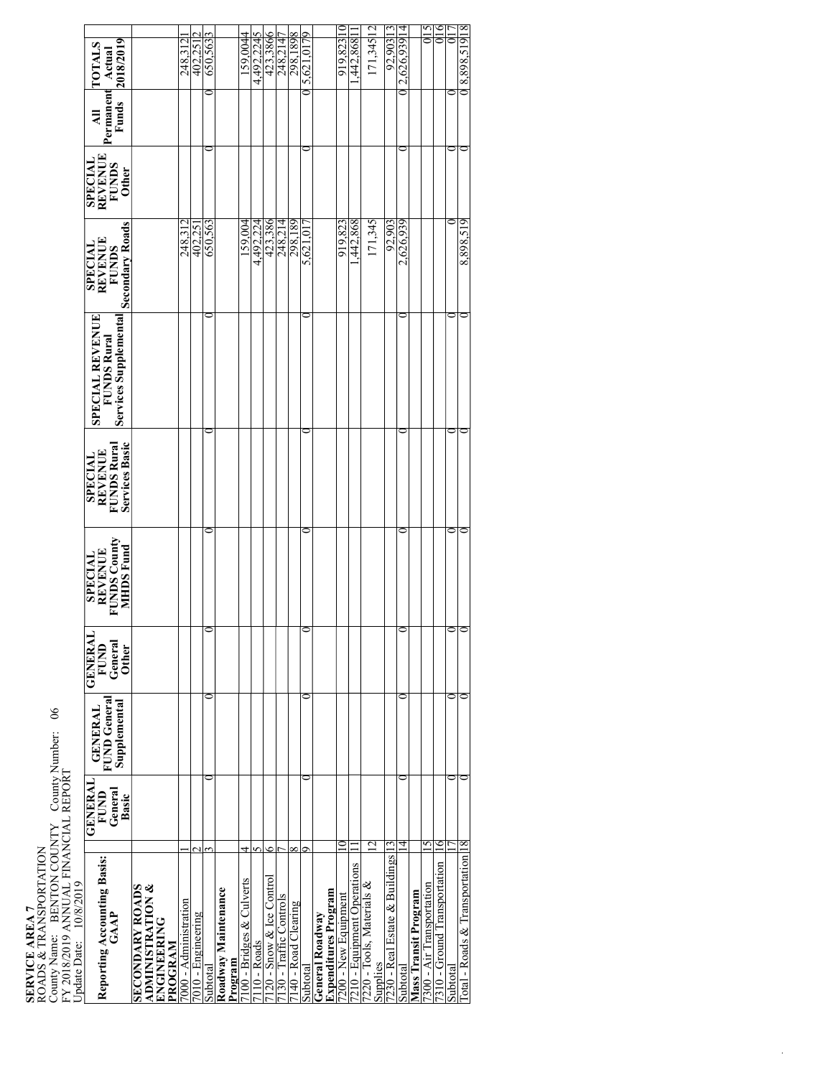| County Name: BENTON COUNTY County Number:<br>FY 2018/2019 ANNUAL FINANCIAL REPORT<br>Update Date: 10/8/2019<br>SERVICE AREA 7<br>ROADS & TRANSPORTATION |                                            | $\frac{6}{6}$                                  |                                                          |                                                                      |                                                                          |                                                                |                                                              |                                                                  |                                      |                                      |
|---------------------------------------------------------------------------------------------------------------------------------------------------------|--------------------------------------------|------------------------------------------------|----------------------------------------------------------|----------------------------------------------------------------------|--------------------------------------------------------------------------|----------------------------------------------------------------|--------------------------------------------------------------|------------------------------------------------------------------|--------------------------------------|--------------------------------------|
| Reporting Accounting Basis:<br>GAAP                                                                                                                     | <b>GENERAL</b><br>FUND<br>General<br>Basic | FUND General<br>Supplemental<br><b>GENERAL</b> | <b>GENERAI</b><br><b>FUND</b><br>General<br><b>Other</b> | <b>FUNDS County</b><br><b>MHDS</b> Fund<br><b>REVENUE</b><br>SPECIAL | Services Basic<br><b>FUNDS Rural</b><br><b>REVENUE</b><br><b>SPECIAL</b> | Services Supplemental<br>SPECIAL REVENUE<br><b>FUNDS Rural</b> | Secondary Roads<br><b>SPECIAL</b><br>REVENUE<br><b>FUNDS</b> | <b>REVENUE</b><br><b>SPECIAL</b><br><b>FUNDS</b><br><b>Other</b> | Permanent<br>Funds<br>$\overline{a}$ | 2018/2019<br><b>TOTALS</b><br>Actual |
| <b>ADMINISTRATION &amp;</b><br><b>SECONDARY ROADS</b><br><b>ENGINEERING</b><br>PROGRAM                                                                  |                                            |                                                |                                                          |                                                                      |                                                                          |                                                                |                                                              |                                                                  |                                      |                                      |
| 7000 - Administration                                                                                                                                   |                                            |                                                |                                                          |                                                                      |                                                                          |                                                                | 248.312                                                      |                                                                  |                                      | 248.31                               |
| 7010 - Engineering                                                                                                                                      |                                            |                                                |                                                          |                                                                      |                                                                          |                                                                | 402.25                                                       |                                                                  |                                      | 402.25                               |
| Subtotal                                                                                                                                                |                                            |                                                |                                                          |                                                                      |                                                                          |                                                                | 650,563                                                      |                                                                  |                                      | 650,563                              |
| Roadway Maintenance<br>Program                                                                                                                          |                                            |                                                |                                                          |                                                                      |                                                                          |                                                                |                                                              |                                                                  |                                      |                                      |
| 100 - Bridges & Culverts                                                                                                                                |                                            |                                                |                                                          |                                                                      |                                                                          |                                                                | F00'6S1                                                      |                                                                  |                                      | 59.0044                              |
| [10 - Roads                                                                                                                                             |                                            |                                                |                                                          |                                                                      |                                                                          |                                                                | 4,492,224                                                    |                                                                  |                                      | 4,492,2245                           |
| 120 - Snow & Ice Control                                                                                                                                | ٥                                          |                                                |                                                          |                                                                      |                                                                          |                                                                | 423,386                                                      |                                                                  |                                      | 423,3866                             |
| 130 - Traffic Controls                                                                                                                                  |                                            |                                                |                                                          |                                                                      |                                                                          |                                                                | 248,214                                                      |                                                                  |                                      | 4<br>248,21                          |
| 140 - Road Clearing                                                                                                                                     |                                            |                                                |                                                          |                                                                      |                                                                          |                                                                | 298,189                                                      |                                                                  |                                      | 298,1898                             |
| ubtotal                                                                                                                                                 |                                            |                                                |                                                          | ∊                                                                    |                                                                          |                                                                | 5,621.0                                                      |                                                                  |                                      | P41<br>$5,621,\overline{01}$         |
| Expenditures Program<br>General Roadway                                                                                                                 |                                            |                                                |                                                          |                                                                      |                                                                          |                                                                |                                                              |                                                                  |                                      |                                      |
| 200 - New Equipment                                                                                                                                     |                                            |                                                |                                                          |                                                                      |                                                                          |                                                                | 919.823                                                      |                                                                  |                                      | 919.823                              |
| 210 - Equipment Operations                                                                                                                              |                                            |                                                |                                                          |                                                                      |                                                                          |                                                                | ,442,868                                                     |                                                                  |                                      | 442,868                              |
| 220 - Tools, Materials &<br>Supplies                                                                                                                    | 12                                         |                                                |                                                          |                                                                      |                                                                          |                                                                | 171,345                                                      |                                                                  |                                      | 171,345 12                           |
| 230 - Real Estate & Buildings                                                                                                                           |                                            |                                                |                                                          |                                                                      |                                                                          |                                                                | 92.903                                                       |                                                                  |                                      | 81806.76                             |
| Subtotal                                                                                                                                                | 4                                          |                                                |                                                          |                                                                      |                                                                          |                                                                | 2,626,939                                                    |                                                                  |                                      | 2,626,939 14                         |
| Mass Transit Program                                                                                                                                    |                                            |                                                |                                                          |                                                                      |                                                                          |                                                                |                                                              |                                                                  |                                      |                                      |
| '300 - Air Transportation                                                                                                                               | 5                                          |                                                |                                                          |                                                                      |                                                                          |                                                                |                                                              |                                                                  |                                      | ol 5                                 |
| 7310 - Ground Transportation                                                                                                                            | c                                          |                                                |                                                          |                                                                      |                                                                          |                                                                |                                                              |                                                                  |                                      | 016                                  |
| Subtotal                                                                                                                                                |                                            |                                                | ం⊂                                                       | 0                                                                    |                                                                          |                                                                |                                                              | 0                                                                |                                      | ត                                    |
| [otal - Roads & Transportation 18]                                                                                                                      |                                            |                                                |                                                          | ⊂                                                                    |                                                                          |                                                                | 8.898.519                                                    |                                                                  |                                      | 81615'868'8                          |
|                                                                                                                                                         |                                            |                                                |                                                          |                                                                      |                                                                          |                                                                |                                                              |                                                                  |                                      |                                      |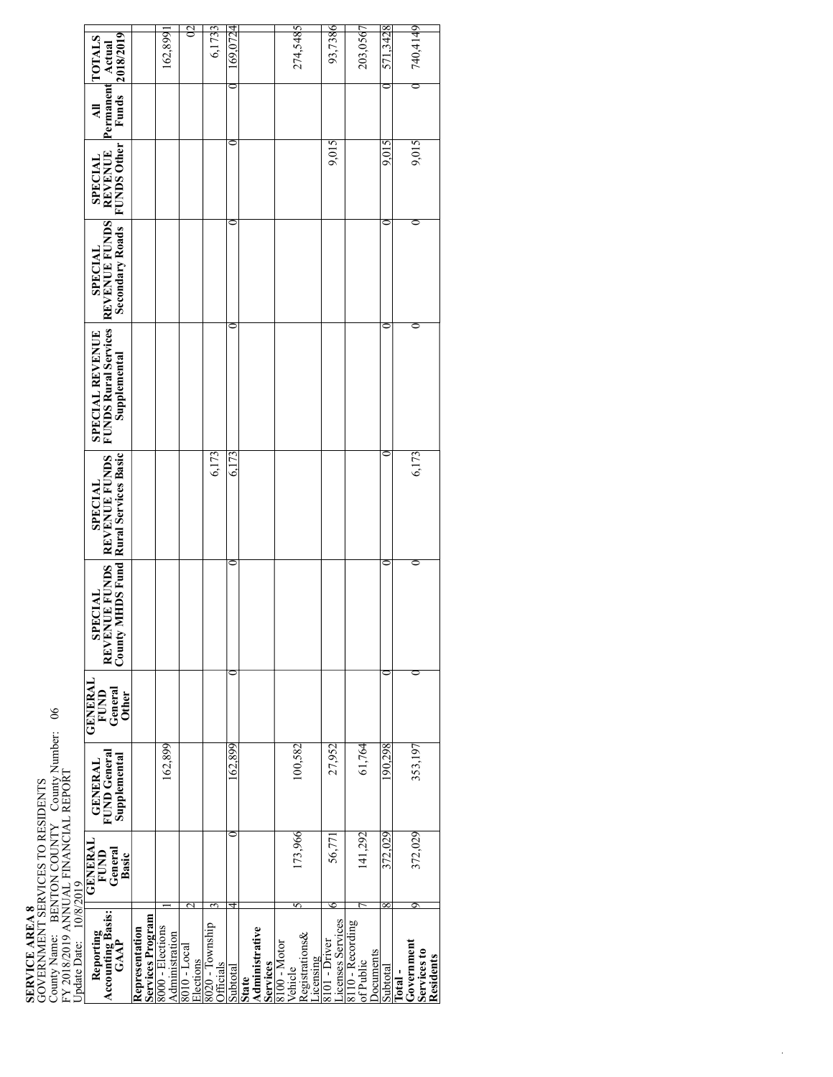## **SERVICE AREA 8**<br>GOVERNMENT SERVICES TO RESIDENTS<br>County Name: BENTON COUNTY County Number: 06<br>FY 2018/2019 ANNUAL FINANCIAL REPORT GOVERNMENT SERVICES TO RESIDENTS County Name: BENTON COUNTY County Number: 06

|                                                                    |                                                                               |                                    |                  | 02                                          |                        |          |                                            |                                                                  |                                    |                                           |          |                                                  |
|--------------------------------------------------------------------|-------------------------------------------------------------------------------|------------------------------------|------------------|---------------------------------------------|------------------------|----------|--------------------------------------------|------------------------------------------------------------------|------------------------------------|-------------------------------------------|----------|--------------------------------------------------|
|                                                                    | 2018/2019<br><b>TOTALS</b>                                                    |                                    | 162,899          |                                             | 6,1733                 | 69,0724  |                                            | 274,5485                                                         | 93,7386                            | 203,0567                                  | 571,3428 | 740,4149                                         |
|                                                                    | Permanent<br>Actual<br><b>Funds</b><br>$\overline{\mathbf{z}}$                |                                    |                  |                                             |                        |          |                                            |                                                                  |                                    |                                           |          |                                                  |
|                                                                    | <b>REVENUE</b><br>FUNDS Other<br><b>SPECIAL</b>                               |                                    |                  |                                             |                        |          |                                            |                                                                  | 9,015                              |                                           | n<br>5.Q | 9,015                                            |
|                                                                    | Secondary Roads                                                               |                                    |                  |                                             |                        |          |                                            |                                                                  |                                    |                                           |          |                                                  |
|                                                                    | SPECIAL REVENUE SPECIAL<br>FUNDS Rural Services REVENUE FUNDS<br>Supplemental |                                    |                  |                                             |                        |          |                                            |                                                                  |                                    |                                           |          |                                                  |
|                                                                    | REVENUE FUNDS REVENUE FUNDS<br><b>SPECIAL</b>                                 |                                    |                  |                                             | 6,173                  | 6,173    |                                            |                                                                  |                                    |                                           |          | 6,173                                            |
|                                                                    | REVENIE                                                                       |                                    |                  |                                             |                        |          |                                            |                                                                  |                                    |                                           |          |                                                  |
|                                                                    | <b>GENERAL</b><br><b>FUND</b><br>General<br>Other                             |                                    |                  |                                             |                        |          |                                            |                                                                  |                                    |                                           |          |                                                  |
|                                                                    | <b>GENERAL</b><br>FUND General<br>Supplemental                                |                                    | 162,899          |                                             |                        | 162,899  |                                            | 100,582                                                          | 27,952                             | 61,764                                    | 190,298  | 353,197                                          |
|                                                                    | <b>GENERAL</b><br>FUND<br>General<br>Basic                                    |                                    |                  |                                             |                        |          |                                            | 173,966                                                          | 56,771                             | 141,292                                   | 372,029  | 372,029                                          |
| FY 2018/2019 ANNUAL FINANCIAL REPORT<br>Update Date:     10/8/2019 | Reporting<br>Accounting Basis:<br>GAAP                                        | Services Program<br>Representation | 8000 - Elections | Administration<br>8010 - Local<br>Elections | officials<br>Officials | Subtotal | Administrative<br>Services<br><b>State</b> | <b>Registrations&amp;</b><br>8100 - Motor<br>Vehicle<br>icensing | Licenses Services<br>8101 - Driver | of Public<br>guipnooa - 0118<br>Documents | Subtotal | Government<br>Services to<br>Residents<br>Total- |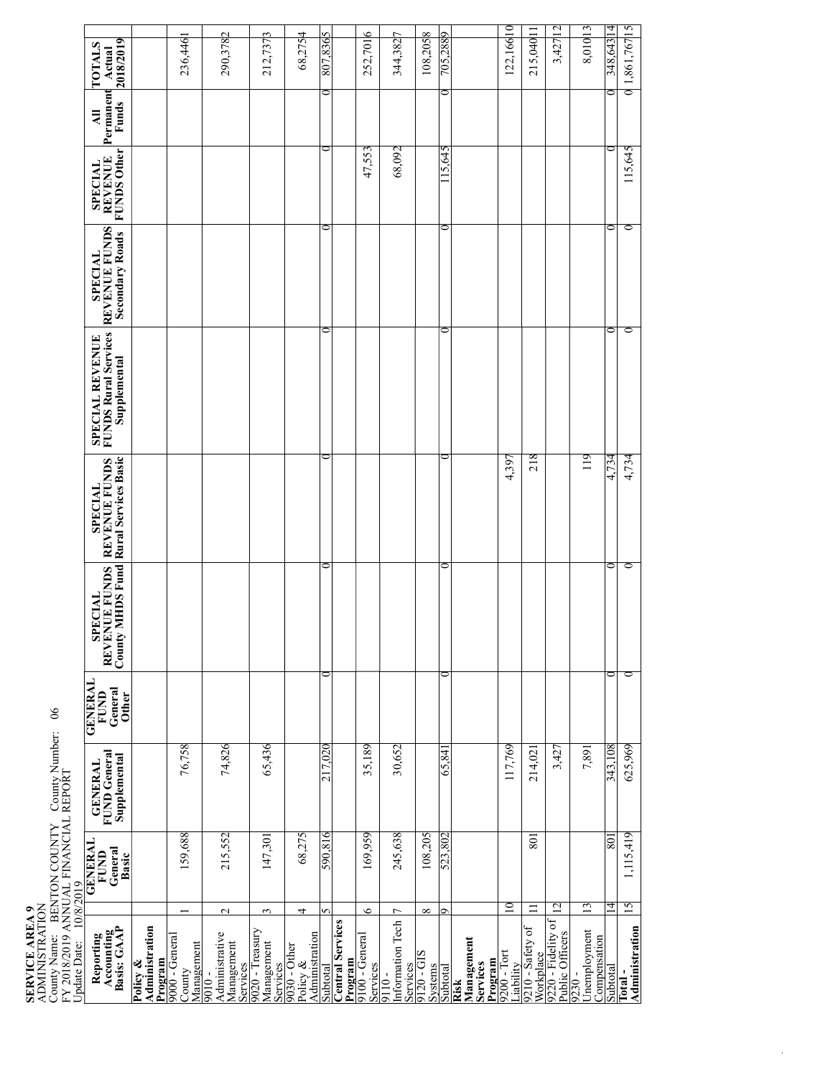# **SERVICE AREA 9** ADMINISTRATION

County Name: BENTON COUNTY County Number: 06 FY 2018/2019 ANNUAL FINANCIAL REPORT<br>Update Date: 10/8/2019

| <b>GENERAL</b><br>General<br>Basic<br>FUND | <b>FUND</b> General<br>Supplemental<br><b>GENERAL</b> | <b>TYNENED</b><br>General<br>FUND<br><b>Other</b> | SPECIAL<br>REVENUE FUNDS<br>$_{\rm County}$ | <b>MHDS Fund Rural Services Basic</b><br><b>REVENUE FUNDS</b><br><b>SPECIAL</b> | <b>FUNDS Rural Services</b><br>SPECIAL REVENUE<br>Supplemental | REVENUE FUNDS<br>Secondary Roads<br><b>SPECIAL</b> | <b>FUNDS Other</b><br>SPECIAL<br>REVENUE | Permanent<br>Funds<br>$\overline{a}$ | 2018/2019<br><b>TOTALS</b><br>Actual |
|--------------------------------------------|-------------------------------------------------------|---------------------------------------------------|---------------------------------------------|---------------------------------------------------------------------------------|----------------------------------------------------------------|----------------------------------------------------|------------------------------------------|--------------------------------------|--------------------------------------|
|                                            |                                                       |                                                   |                                             |                                                                                 |                                                                |                                                    |                                          |                                      |                                      |
| 159,688                                    | 76,758                                                |                                                   |                                             |                                                                                 |                                                                |                                                    |                                          |                                      | 236,446                              |
| 215,552                                    | 74,826                                                |                                                   |                                             |                                                                                 |                                                                |                                                    |                                          |                                      | 290,3782                             |
| 147,301                                    | 65,436                                                |                                                   |                                             |                                                                                 |                                                                |                                                    |                                          |                                      | 212,7373                             |
| 68,275                                     |                                                       |                                                   |                                             |                                                                                 |                                                                |                                                    |                                          |                                      | 68,2754                              |
| 590,816                                    | 217,020                                               | 0                                                 | 0                                           |                                                                                 |                                                                | ⊂                                                  | ⋍                                        | 0                                    | Sp£8.708                             |
|                                            |                                                       |                                                   |                                             |                                                                                 |                                                                |                                                    |                                          |                                      |                                      |
| 169,959                                    | 35,189                                                |                                                   |                                             |                                                                                 |                                                                |                                                    | 47,553                                   |                                      | 252,7016                             |
| 245,638                                    | 30,652                                                |                                                   |                                             |                                                                                 |                                                                |                                                    | 68,092                                   |                                      | 344,3827                             |
| 108,205                                    |                                                       |                                                   |                                             |                                                                                 |                                                                |                                                    |                                          |                                      | 108,2058                             |
| 523,802                                    | 65.84                                                 | っ                                                 | ⋍                                           |                                                                                 |                                                                | ⋍                                                  | 15,645                                   | ∍                                    | 705,288                              |
|                                            |                                                       |                                                   |                                             |                                                                                 |                                                                |                                                    |                                          |                                      |                                      |
|                                            | 117,769                                               |                                                   |                                             | 4,397                                                                           |                                                                |                                                    |                                          |                                      | 122,16610                            |
| $\overline{80}$                            | 214,021                                               |                                                   |                                             | 218                                                                             |                                                                |                                                    |                                          |                                      | 215,040 11                           |
|                                            | 3,427                                                 |                                                   |                                             |                                                                                 |                                                                |                                                    |                                          |                                      | 3,427 12                             |
|                                            | 7,891                                                 |                                                   |                                             | 119                                                                             |                                                                |                                                    |                                          |                                      | 8,01013                              |
| 801                                        | 343,108                                               | 0                                                 | 0                                           | 4,734                                                                           |                                                                | c                                                  |                                          |                                      | 348,643 14                           |
| 1,115,419                                  | 625,969                                               | 0                                                 | 0                                           | 4,734                                                                           |                                                                | 0                                                  | 115,645                                  |                                      | 0 1,861,767 15                       |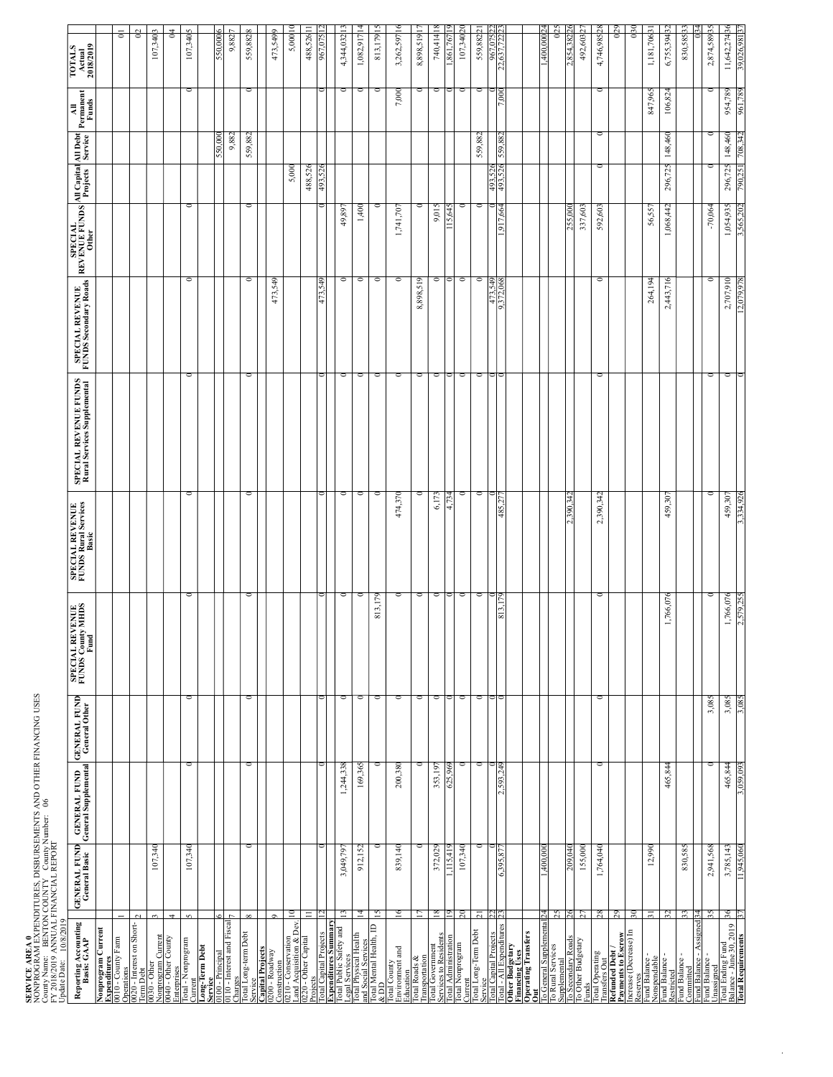**SERVICE AREA 0**<br>NONPROGRAM EXPENDITURES, DISBURSEMENTS AND OTHER FINANCING USES<br>Couny Name: BENTON COUNTY Couny Number: 06<br>FY 2018/2019 ANNUAL FINANCIAL REPORT NONPROGRAM EXPENDITURES, DISBURSEMENTS AND OTHER FINANCING USES County Name: BENTON COUNTY County Number: 06<br>FY 2018/2019 ANNUAL FINANCIAL REPORT

| FY 2018/2019 ANNUAL FINANCIAL REPORT |              |
|--------------------------------------|--------------|
|                                      | 10/8/2019    |
|                                      | Update Date: |

| Jpdate Date: 10/8/2019                                                              |                                      |                                                                               |                |                                              |                                                 |                                                      |                                          |                                                        |                    |                     |                                                                                       |                               |
|-------------------------------------------------------------------------------------|--------------------------------------|-------------------------------------------------------------------------------|----------------|----------------------------------------------|-------------------------------------------------|------------------------------------------------------|------------------------------------------|--------------------------------------------------------|--------------------|---------------------|---------------------------------------------------------------------------------------|-------------------------------|
| Reporting Accounting<br>Basis: GAAP                                                 | <b>GENERAL FUND</b><br>General Basic | <b>GENERAL FUND GENERAL FUND</b><br>General Supplemental <b>General Other</b> |                | SPECIAL REVENUE<br>FUNDS County MHDS<br>Fund | <b>SPECIAL REVENUE<br/>FUNDS Rural Services</b> | SPECIAL REVENUE FUNDS<br>Rural Services Supplemental | SPECIAL REVENUE<br>FUNDS Secondary Roads | SPECIAL<br>REVENUE FUNDS All Capital<br>Other<br>Other |                    | All Debt<br>Service | $\begin{array}{c}\n\mathbf{All} \\ \mathbf{Permanent} \\ \mathbf{Funds}\n\end{array}$ | TOTALS<br>Actual<br>2018/2019 |
| Nonprogram Current<br>Expenditures<br>0010 - County Farm                            |                                      |                                                                               |                |                                              |                                                 |                                                      |                                          |                                                        |                    |                     |                                                                                       |                               |
| perations                                                                           |                                      |                                                                               |                |                                              |                                                 |                                                      |                                          |                                                        |                    |                     |                                                                                       | $\overline{a}$                |
| 020 - Interest on Short-<br>$\frac{Dc}{n}$                                          |                                      |                                                                               |                |                                              |                                                 |                                                      |                                          |                                                        |                    |                     |                                                                                       | $\overline{0}$                |
| $\tilde{ }$<br>0030 - Other<br>Nonprogram Current<br>0040 - Other County            | 107,340                              |                                                                               |                |                                              |                                                 |                                                      |                                          |                                                        |                    |                     |                                                                                       | 107,340 3                     |
| 4<br>nterprises                                                                     |                                      |                                                                               |                |                                              |                                                 |                                                      |                                          |                                                        |                    |                     |                                                                                       | $\frac{4}{3}$                 |
| $\sim$<br>otal - Nonprogram<br>ırren                                                | 107,340                              | Ō                                                                             | $\circ$        |                                              | ∘                                               | ∘                                                    | $\circ$                                  | ∘                                                      |                    |                     | ೦                                                                                     | 107,3405                      |
| Long-Term Debt<br>Service<br>0100 - Principal                                       |                                      |                                                                               |                |                                              |                                                 |                                                      |                                          |                                                        |                    |                     |                                                                                       |                               |
| 10 - Interest and Fiscal                                                            |                                      |                                                                               |                |                                              |                                                 |                                                      |                                          |                                                        |                    | 50.000              |                                                                                       | $\bullet$<br>550.000          |
| harges                                                                              |                                      |                                                                               |                |                                              |                                                 |                                                      |                                          |                                                        |                    | 9,882               |                                                                                       | 9,882                         |
| $\infty$<br>otal Long-term Debt<br>ervice                                           | $\circ$                              | c                                                                             | Ō              |                                              | ∘                                               | ∘                                                    | ∘                                        | ∘                                                      |                    | 559,882             |                                                                                       | 559,8828                      |
| $\circ$<br>Capital Projects<br>0200 - Roadway                                       |                                      |                                                                               |                |                                              |                                                 |                                                      | 473,549                                  |                                                        |                    |                     |                                                                                       | 473,5499                      |
| Construction<br>0210 - Conservation                                                 | $\overline{a}$                       |                                                                               |                |                                              |                                                 |                                                      |                                          |                                                        | 5,000              |                     |                                                                                       | ≍<br>5,000                    |
| and Acquisition & Dev.<br>220 - Other Capital<br>ects                               | $\equiv$                             |                                                                               |                |                                              |                                                 |                                                      |                                          |                                                        | 488,526            |                     |                                                                                       | ⋍<br>488,526                  |
|                                                                                     |                                      |                                                                               |                |                                              |                                                 |                                                      |                                          |                                                        | 493                |                     |                                                                                       | 967.                          |
| $\frac{\text{Total Capital Projects}}{\text{For all Public Safety and } }$          | 3,049,797<br>13                      | 1,244,338                                                                     | c              |                                              | 0                                               | $\circ$                                              | $\circ$                                  | 49,897                                                 |                    |                     |                                                                                       | ≘<br>4,344,032                |
|                                                                                     | 912,152<br><u>국</u>                  | 169,365                                                                       | Ō              |                                              | ∘                                               | ∘                                                    | $\circ$                                  | 1,400                                                  |                    |                     | 0                                                                                     | Ξ<br>1,082,917                |
| Total Physical Health<br>and Social Services<br>Total Mental Health, ID<br>& DD     | O<br>15                              |                                                                               | $\circ$        | 813,179                                      | 0                                               | 0                                                    | $\circ$                                  | 0                                                      |                    |                     |                                                                                       | $\overline{15}$<br>813,179    |
| Total County<br>Environment and<br>ucation                                          | 839,140<br>$\frac{6}{2}$             | 200,380                                                                       | O              |                                              | 474,370                                         | $\circ$                                              | Ō                                        | 1,741,707                                              |                    |                     | 7,000                                                                                 | $\frac{6}{2}$<br>3,262,597    |
| otal Roads &                                                                        | Ξ                                    |                                                                               | $\circ$        |                                              |                                                 | 0                                                    | 8,898,519                                |                                                        |                    |                     |                                                                                       | Ξ<br>8,898,519                |
| Transportation<br>Total Government<br>Services to Residents<br>Total Administration | 372,029<br>$\frac{8}{2}$             | 353,197                                                                       | $\circ$        |                                              | 6,173                                           | $\circ$                                              | 0                                        | 9,015                                                  |                    |                     |                                                                                       | $\frac{8}{2}$<br>740,414      |
|                                                                                     | 11541                                | ζŠ                                                                            |                |                                              |                                                 |                                                      |                                          |                                                        |                    |                     |                                                                                       | .861.                         |
| otal Nonprogram<br>urrent                                                           | 107,340<br>$\mathbb{S}$              |                                                                               | O              |                                              | ≏                                               | ∊                                                    | 0                                        |                                                        |                    |                     |                                                                                       | 107,34020                     |
| otal Long-Term Debt                                                                 | 0<br>$\overline{c}$                  | c                                                                             | $\circ$        |                                              | $\circ$                                         | 0                                                    | $\circ$                                  | 0                                                      |                    | 559,882             | 0                                                                                     | 559,88221                     |
| Total Capital Projects<br>Total - All Expenditures<br>Other Budgetary               | 6,395                                | S.                                                                            |                | 813                                          |                                                 |                                                      |                                          |                                                        | 493                |                     |                                                                                       | <b>967</b>                    |
|                                                                                     |                                      |                                                                               |                |                                              |                                                 |                                                      |                                          |                                                        |                    |                     |                                                                                       |                               |
| Financing Uses<br>Operating Transfers                                               |                                      |                                                                               |                |                                              |                                                 |                                                      |                                          |                                                        |                    |                     |                                                                                       |                               |
| o General Supplemental                                                              | 1,400,000<br>25                      |                                                                               |                |                                              |                                                 |                                                      |                                          |                                                        |                    |                     |                                                                                       | $\mathbb{S}^2$<br>1,400,0002  |
| To Rural Services<br>Supplemental<br>To Secondary Roads<br>To Other Budgetary       | 209.040                              |                                                                               |                |                                              | 390.342                                         |                                                      |                                          | 255.000                                                |                    |                     |                                                                                       | 854.38                        |
| unds                                                                                | 155,000<br>27                        |                                                                               |                |                                              |                                                 |                                                      |                                          | 337,603                                                |                    |                     |                                                                                       | $\tilde{c}$<br>492,603        |
| Total Operating<br>Transfers Out                                                    | 1,764,040<br>$\frac{28}{3}$          | $\circ$                                                                       | $\circ$        | ∊                                            | 2,390,342                                       | 0                                                    | O                                        | 592,603                                                | $\circ$            | $\circ$             | ○                                                                                     | $\frac{8}{2}$<br>4,746,985    |
| <b>Refunded Debt /<br/>Payments to Escrow<br/>Increase (Decrease) In</b>            | 29                                   |                                                                               |                |                                              |                                                 |                                                      |                                          |                                                        |                    |                     |                                                                                       | 0 <sup>29</sup>               |
| serves                                                                              | 50                                   |                                                                               |                |                                              |                                                 |                                                      |                                          |                                                        |                    |                     |                                                                                       | $^{030}$                      |
| Fund Balance -<br>Nonspendable<br>Fund Balance -                                    | 12,990<br>$\overline{5}$             |                                                                               |                |                                              |                                                 |                                                      | 264,194                                  | 56,557                                                 |                    |                     | 847,965                                                                               | $\overline{5}$<br>1,181,706   |
|                                                                                     | 32                                   | 465,844                                                                       |                | 1,766,076                                    | 459,307                                         |                                                      | 2,443,716                                | 1,068,442                                              | 296,725            | 148,460             | 106,824                                                                               | $\mathbb{Z}$<br>6,755,394     |
| Restricted<br>iund Balance -<br>ommitted                                            | 830,585<br>33                        |                                                                               |                |                                              |                                                 |                                                      |                                          |                                                        |                    |                     |                                                                                       | $\mathfrak{L}$<br>830,585     |
| und Balance - Assigned<br>und Balance -                                             | 2,941,568<br>34<br>35                | c                                                                             | 3,085          |                                              | 0                                               | ∘                                                    | Ō                                        | $-70,064$                                              |                    | 0                   | c                                                                                     |                               |
|                                                                                     |                                      |                                                                               |                |                                              |                                                 |                                                      |                                          |                                                        |                    |                     |                                                                                       | 2,874,58935                   |
| Unassigned<br>Total Ending Fund<br>Balance - June 30, 2019<br>Total Requirements    | 3,785,143<br>11,945,060<br>३६<br>37  | 465,844<br>3,059,093                                                          | 3,085<br>3,085 | 1,766,076<br>2,579,25                        | 459,307<br>.334.926                             | $\circ$<br>∊                                         | 2,707,910<br>12,079,978                  | 1,054,935<br>3,565,202                                 | 296,725<br>790,251 | 148,460<br>708,342  | 954,789<br>961,789                                                                    | 11,642,27436<br>39,026,981    |
|                                                                                     |                                      |                                                                               |                |                                              |                                                 |                                                      |                                          |                                                        |                    |                     |                                                                                       |                               |

 $\mathcal{A}^{\mathrm{c},\mathrm{c}}$